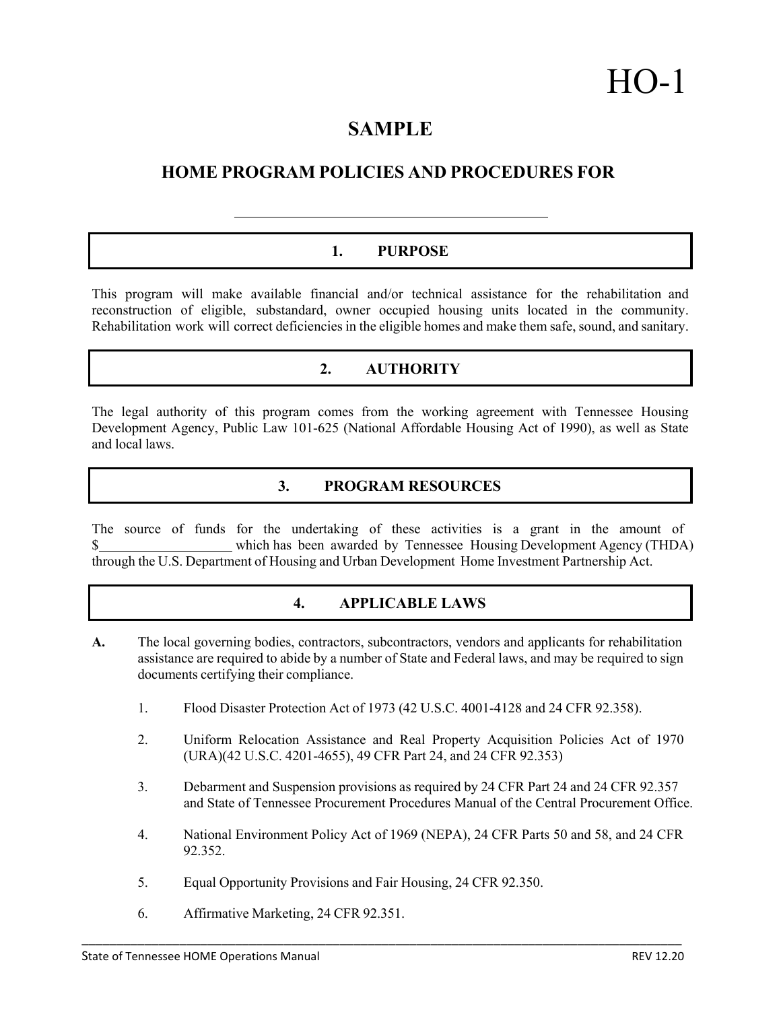# **SAMPLE**

# **HOME PROGRAM POLICIES AND PROCEDURES FOR**

# **1. PURPOSE**

This program will make available financial and/or technical assistance for the rehabilitation and reconstruction of eligible, substandard, owner occupied housing units located in the community. Rehabilitation work will correct deficiencies in the eligible homes and make them safe, sound, and sanitary.

# **2. AUTHORITY**

The legal authority of this program comes from the working agreement with Tennessee Housing Development Agency, Public Law 101-625 (National Affordable Housing Act of 1990), as well as State and local laws.

# **3. PROGRAM RESOURCES**

The source of funds for the undertaking of these activities is a grant in the amount of which has been awarded by Tennessee Housing Development Agency (THDA) through the U.S. Department of Housing and Urban Development Home Investment Partnership Act.

# **4. APPLICABLE LAWS**

- **A.** The local governing bodies, contractors, subcontractors, vendors and applicants for rehabilitation assistance are required to abide by a number of State and Federal laws, and may be required to sign documents certifying their compliance.
	- 1. Flood Disaster Protection Act of 1973 (42 U.S.C. 4001-4128 and 24 CFR 92.358).
	- 2. Uniform Relocation Assistance and Real Property Acquisition Policies Act of 1970 (URA)(42 U.S.C. 4201-4655), 49 CFR Part 24, and 24 CFR 92.353)
	- 3. Debarment and Suspension provisions as required by 24 CFR Part 24 and 24 CFR 92.357 and State of Tennessee Procurement Procedures Manual of the Central Procurement Office.
	- 4. National Environment Policy Act of 1969 (NEPA), 24 CFR Parts 50 and 58, and 24 CFR 92.352.

\_\_\_\_\_\_\_\_\_\_\_\_\_\_\_\_\_\_\_\_\_\_\_\_\_\_\_\_\_\_\_\_\_\_\_\_\_\_\_\_\_\_\_\_\_\_\_\_\_\_\_\_\_\_\_\_\_\_\_\_\_\_\_\_\_\_\_\_\_\_\_\_\_\_\_\_\_\_\_\_\_\_\_\_\_\_

- 5. Equal Opportunity Provisions and Fair Housing, 24 CFR 92.350.
- 6. Affirmative Marketing, 24 CFR 92.351.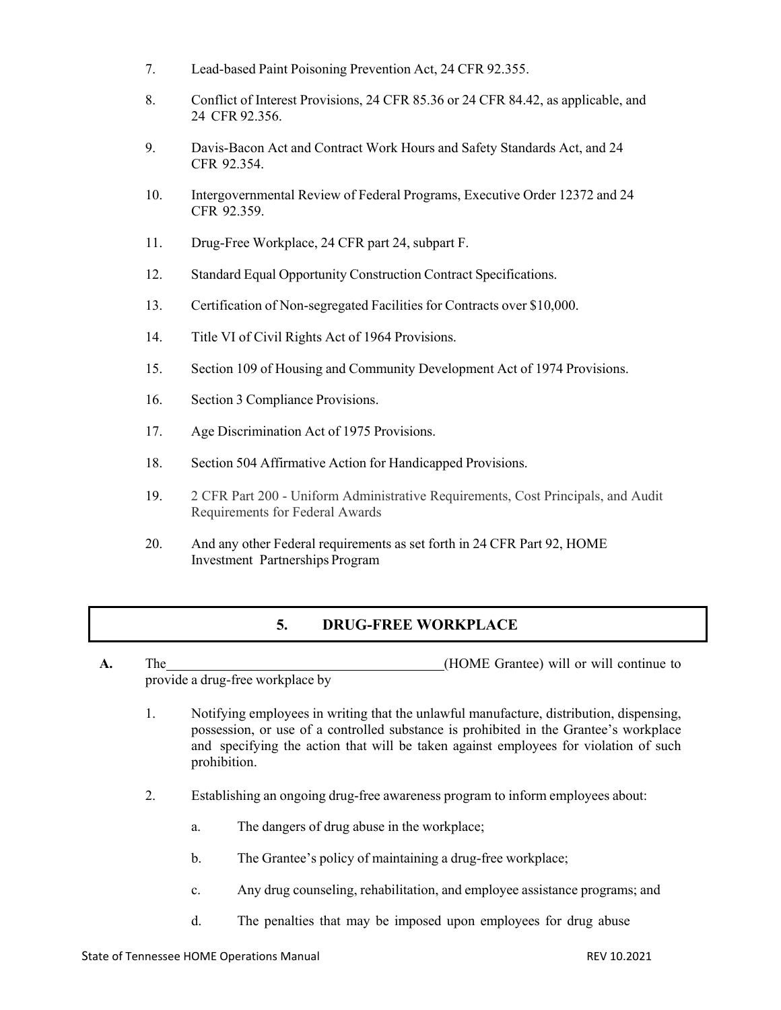- 7. Lead-based Paint Poisoning Prevention Act, 24 CFR 92.355.
- 8. Conflict of Interest Provisions, 24 CFR 85.36 or 24 CFR 84.42, as applicable, and 24 CFR 92.356.
- 9. Davis-Bacon Act and Contract Work Hours and Safety Standards Act, and 24 CFR 92.354.
- 10. Intergovernmental Review of Federal Programs, Executive Order 12372 and 24 CFR 92.359.
- 11. Drug-Free Workplace, 24 CFR part 24, subpart F.
- 12. Standard Equal Opportunity Construction Contract Specifications.
- 13. Certification of Non-segregated Facilities for Contracts over \$10,000.
- 14. Title VI of Civil Rights Act of 1964 Provisions.
- 15. Section 109 of Housing and Community Development Act of 1974 Provisions.
- 16. Section 3 Compliance Provisions.
- 17. Age Discrimination Act of 1975 Provisions.
- 18. Section 504 Affirmative Action for Handicapped Provisions.
- 19. 2 CFR Part 200 Uniform Administrative Requirements, Cost Principals, and Audit Requirements for Federal Awards
- 20. And any other Federal requirements as set forth in 24 CFR Part 92, HOME Investment Partnerships Program

# **5. DRUG-FREE WORKPLACE**

- **A.** The (HOME Grantee) will or will continue to provide a drug-free workplace by
	- 1. Notifying employees in writing that the unlawful manufacture, distribution, dispensing, possession, or use of a controlled substance is prohibited in the Grantee's workplace and specifying the action that will be taken against employees for violation of such prohibition.
	- 2. Establishing an ongoing drug-free awareness program to inform employees about:
		- a. The dangers of drug abuse in the workplace;
		- b. The Grantee's policy of maintaining a drug-free workplace;
		- c. Any drug counseling, rehabilitation, and employee assistance programs; and
		- d. The penalties that may be imposed upon employees for drug abuse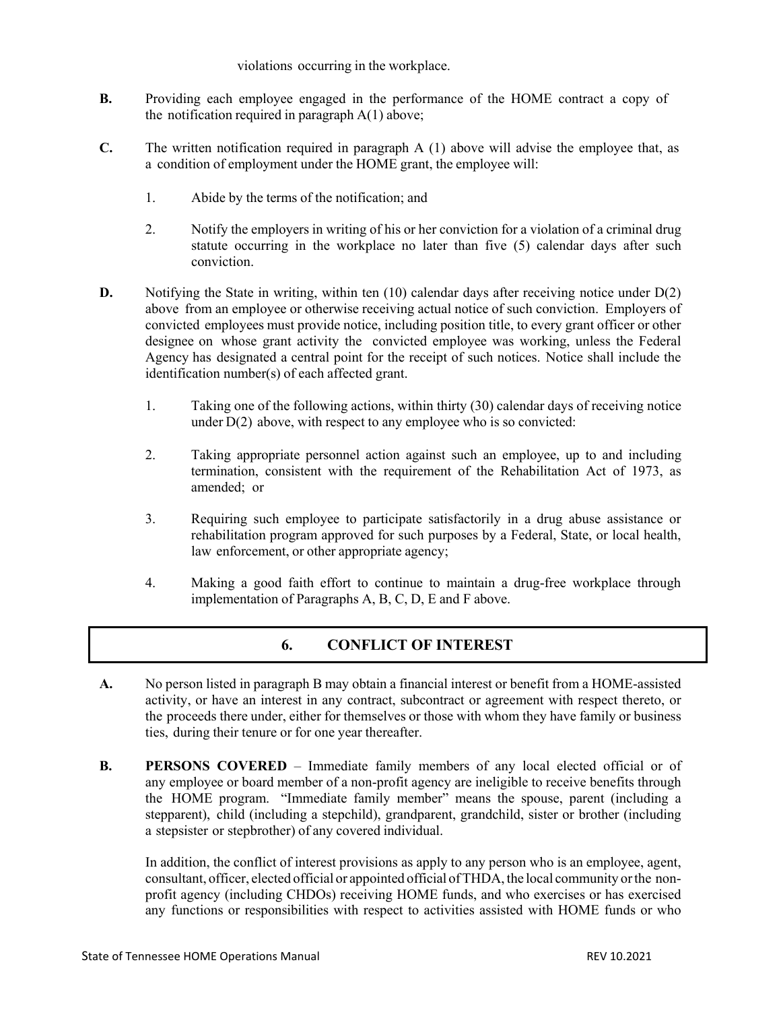#### violations occurring in the workplace.

- **B.** Providing each employee engaged in the performance of the HOME contract a copy of the notification required in paragraph  $A(1)$  above;
- **C.** The written notification required in paragraph A (1) above will advise the employee that, as a condition of employment under the HOME grant, the employee will:
	- 1. Abide by the terms of the notification; and
	- 2. Notify the employers in writing of his or her conviction for a violation of a criminal drug statute occurring in the workplace no later than five (5) calendar days after such conviction.
- **D.** Notifying the State in writing, within ten (10) calendar days after receiving notice under D(2) above from an employee or otherwise receiving actual notice of such conviction. Employers of convicted employees must provide notice, including position title, to every grant officer or other designee on whose grant activity the convicted employee was working, unless the Federal Agency has designated a central point for the receipt of such notices. Notice shall include the identification number(s) of each affected grant.
	- 1. Taking one of the following actions, within thirty (30) calendar days of receiving notice under  $D(2)$  above, with respect to any employee who is so convicted:
	- 2. Taking appropriate personnel action against such an employee, up to and including termination, consistent with the requirement of the Rehabilitation Act of 1973, as amended; or
	- 3. Requiring such employee to participate satisfactorily in a drug abuse assistance or rehabilitation program approved for such purposes by a Federal, State, or local health, law enforcement, or other appropriate agency;
	- 4. Making a good faith effort to continue to maintain a drug-free workplace through implementation of Paragraphs A, B, C, D, E and F above.

# **6. CONFLICT OF INTEREST**

- **A.** No person listed in paragraph B may obtain a financial interest or benefit from a HOME-assisted activity, or have an interest in any contract, subcontract or agreement with respect thereto, or the proceeds there under, either for themselves or those with whom they have family or business ties, during their tenure or for one year thereafter.
- **B. PERSONS COVERED** Immediate family members of any local elected official or of any employee or board member of a non-profit agency are ineligible to receive benefits through the HOME program. "Immediate family member" means the spouse, parent (including a stepparent), child (including a stepchild), grandparent, grandchild, sister or brother (including a stepsister or stepbrother) of any covered individual.

In addition, the conflict of interest provisions as apply to any person who is an employee, agent, consultant, officer, elected official or appointed official ofTHDA, the local community orthe nonprofit agency (including CHDOs) receiving HOME funds, and who exercises or has exercised any functions or responsibilities with respect to activities assisted with HOME funds or who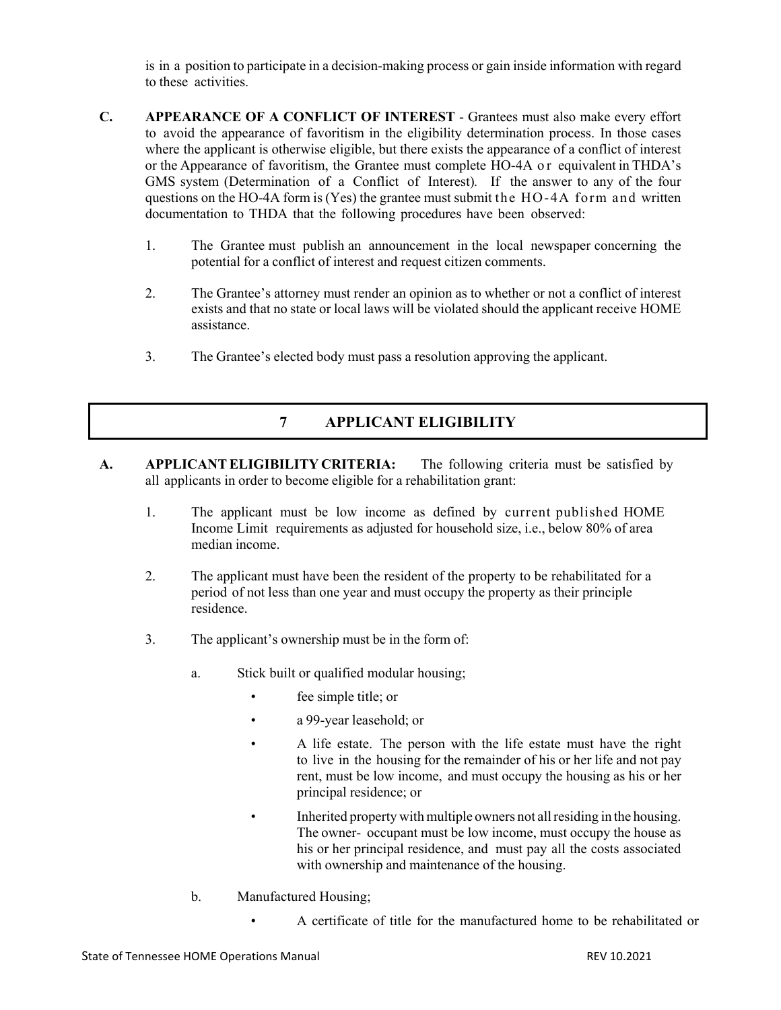is in a position to participate in a decision-making process or gain inside information with regard to these activities.

- **C. APPEARANCE OF A CONFLICT OF INTEREST** Grantees must also make every effort to avoid the appearance of favoritism in the eligibility determination process. In those cases where the applicant is otherwise eligible, but there exists the appearance of a conflict of interest or the Appearance of favoritism, the Grantee must complete HO-4A o r equivalent in THDA's GMS system (Determination of a Conflict of Interest)*.* If the answer to any of the four questions on the HO-4A form is (Yes) the grantee must submit the HO-4A form and written documentation to THDA that the following procedures have been observed:
	- 1. The Grantee must publish an announcement in the local newspaper concerning the potential for a conflict of interest and request citizen comments.
	- 2. The Grantee's attorney must render an opinion as to whether or not a conflict of interest exists and that no state or local laws will be violated should the applicant receive HOME assistance.
	- 3. The Grantee's elected body must pass a resolution approving the applicant.

# **7 APPLICANT ELIGIBILITY**

- **A. APPLICANTELIGIBILITY CRITERIA:** The following criteria must be satisfied by all applicants in order to become eligible for a rehabilitation grant:
	- 1. The applicant must be low income as defined by current published HOME Income Limit requirements as adjusted for household size, i.e., below 80% of area median income.
	- 2. The applicant must have been the resident of the property to be rehabilitated for a period of not less than one year and must occupy the property as their principle residence.
	- 3. The applicant's ownership must be in the form of:
		- a. Stick built or qualified modular housing;
			- fee simple title; or
			- a 99-year leasehold; or
			- A life estate. The person with the life estate must have the right to live in the housing for the remainder of his or her life and not pay rent, must be low income, and must occupy the housing as his or her principal residence; or
			- Inherited property with multiple owners not all residing in the housing. The owner- occupant must be low income, must occupy the house as his or her principal residence, and must pay all the costs associated with ownership and maintenance of the housing.
		- b. Manufactured Housing;
			- A certificate of title for the manufactured home to be rehabilitated or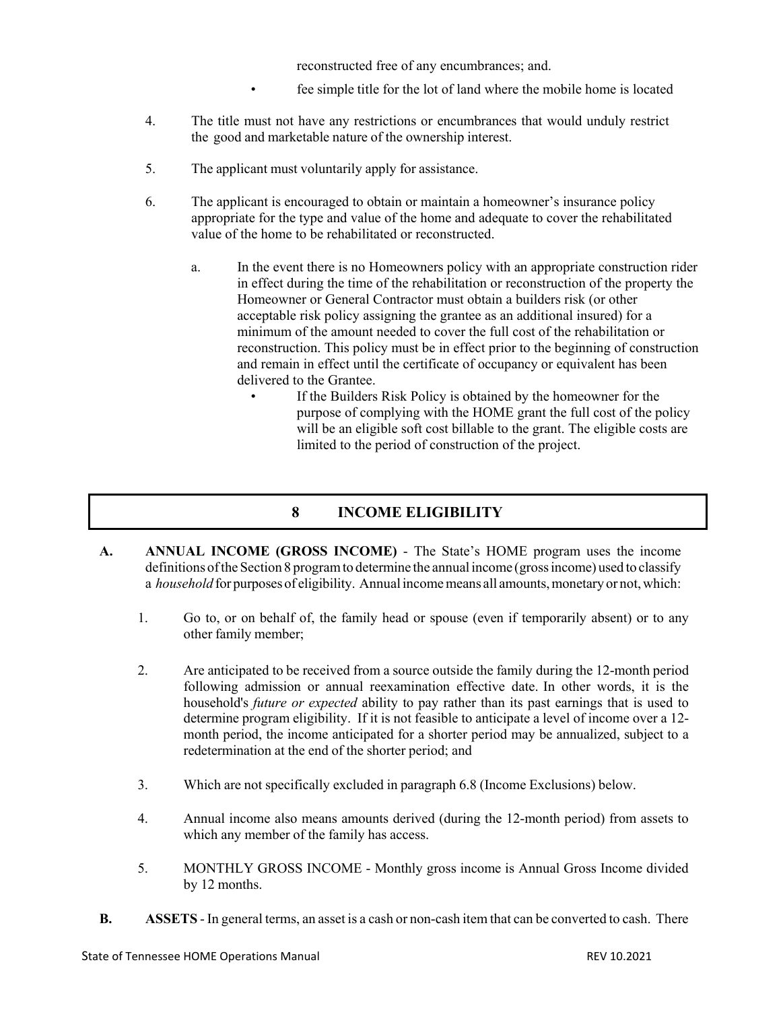reconstructed free of any encumbrances; and.

- fee simple title for the lot of land where the mobile home is located
- 4. The title must not have any restrictions or encumbrances that would unduly restrict the good and marketable nature of the ownership interest.
- 5. The applicant must voluntarily apply for assistance.
- 6. The applicant is encouraged to obtain or maintain a homeowner's insurance policy appropriate for the type and value of the home and adequate to cover the rehabilitated value of the home to be rehabilitated or reconstructed.
	- a. In the event there is no Homeowners policy with an appropriate construction rider in effect during the time of the rehabilitation or reconstruction of the property the Homeowner or General Contractor must obtain a builders risk (or other acceptable risk policy assigning the grantee as an additional insured) for a minimum of the amount needed to cover the full cost of the rehabilitation or reconstruction. This policy must be in effect prior to the beginning of construction and remain in effect until the certificate of occupancy or equivalent has been delivered to the Grantee.
		- If the Builders Risk Policy is obtained by the homeowner for the purpose of complying with the HOME grant the full cost of the policy will be an eligible soft cost billable to the grant. The eligible costs are limited to the period of construction of the project.

## **8 INCOME ELIGIBILITY**

- **A. ANNUAL INCOME (GROSS INCOME)** The State's HOME program uses the income definitions of the Section 8 program to determine the annual income (gross income) used to classify a *household* for purposes of eligibility. Annual income means all amounts, monetary or not, which:
	- 1. Go to, or on behalf of, the family head or spouse (even if temporarily absent) or to any other family member;
	- 2. Are anticipated to be received from a source outside the family during the 12-month period following admission or annual reexamination effective date. In other words, it is the household's *future or expected* ability to pay rather than its past earnings that is used to determine program eligibility. If it is not feasible to anticipate a level of income over a 12 month period, the income anticipated for a shorter period may be annualized, subject to a redetermination at the end of the shorter period; and
	- 3. Which are not specifically excluded in paragraph 6.8 (Income Exclusions) below.
	- 4. Annual income also means amounts derived (during the 12-month period) from assets to which any member of the family has access.
	- 5. MONTHLY GROSS INCOME Monthly gross income is Annual Gross Income divided by 12 months.
- **B. ASSETS** In general terms, an asset is a cash or non-cash item that can be converted to cash. There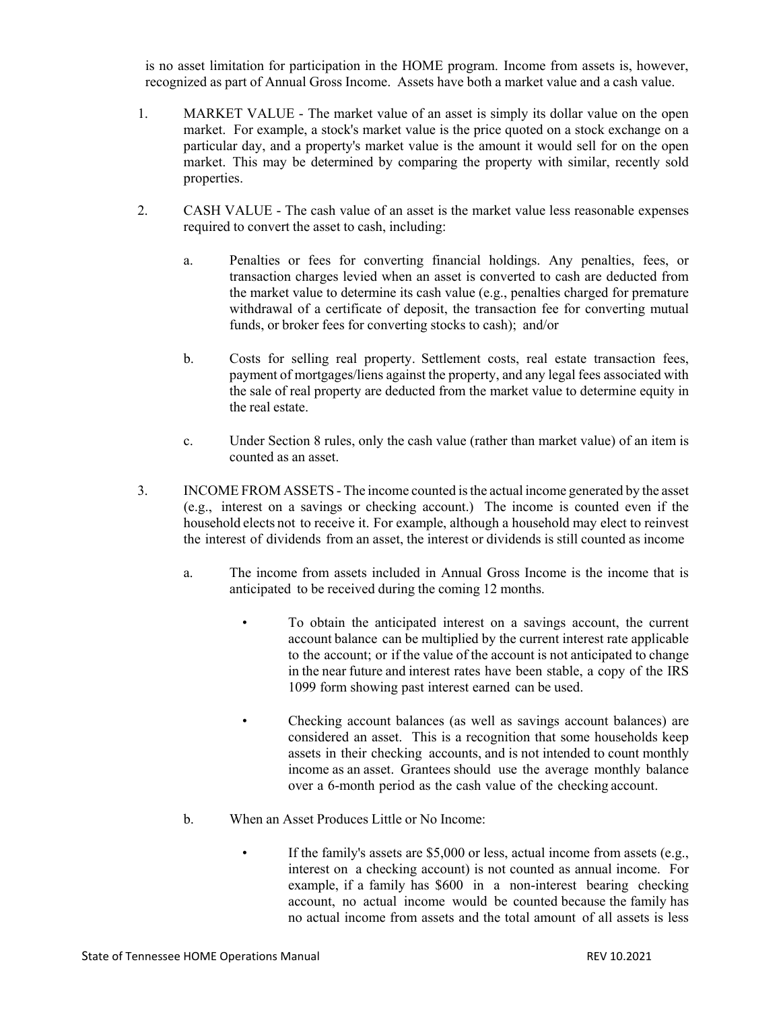is no asset limitation for participation in the HOME program. Income from assets is, however, recognized as part of Annual Gross Income. Assets have both a market value and a cash value.

- 1. MARKET VALUE The market value of an asset is simply its dollar value on the open market. For example, a stock's market value is the price quoted on a stock exchange on a particular day, and a property's market value is the amount it would sell for on the open market. This may be determined by comparing the property with similar, recently sold properties.
- 2. CASH VALUE The cash value of an asset is the market value less reasonable expenses required to convert the asset to cash, including:
	- a. Penalties or fees for converting financial holdings. Any penalties, fees, or transaction charges levied when an asset is converted to cash are deducted from the market value to determine its cash value (e.g., penalties charged for premature withdrawal of a certificate of deposit, the transaction fee for converting mutual funds, or broker fees for converting stocks to cash); and/or
	- b. Costs for selling real property. Settlement costs, real estate transaction fees, payment of mortgages/liens against the property, and any legal fees associated with the sale of real property are deducted from the market value to determine equity in the real estate.
	- c. Under Section 8 rules, only the cash value (rather than market value) of an item is counted as an asset.
- 3. INCOME FROM ASSETS The income counted isthe actual income generated by the asset (e.g., interest on a savings or checking account.) The income is counted even if the household elects not to receive it. For example, although a household may elect to reinvest the interest of dividends from an asset, the interest or dividends is still counted as income
	- a. The income from assets included in Annual Gross Income is the income that is anticipated to be received during the coming 12 months.
		- To obtain the anticipated interest on a savings account, the current account balance can be multiplied by the current interest rate applicable to the account; or if the value of the account is not anticipated to change in the near future and interest rates have been stable, a copy of the IRS 1099 form showing past interest earned can be used.
		- Checking account balances (as well as savings account balances) are considered an asset. This is a recognition that some households keep assets in their checking accounts, and is not intended to count monthly income as an asset. Grantees should use the average monthly balance over a 6-month period as the cash value of the checking account.
	- b. When an Asset Produces Little or No Income:
		- If the family's assets are \$5,000 or less, actual income from assets (e.g., interest on a checking account) is not counted as annual income. For example, if a family has \$600 in a non-interest bearing checking account, no actual income would be counted because the family has no actual income from assets and the total amount of all assets is less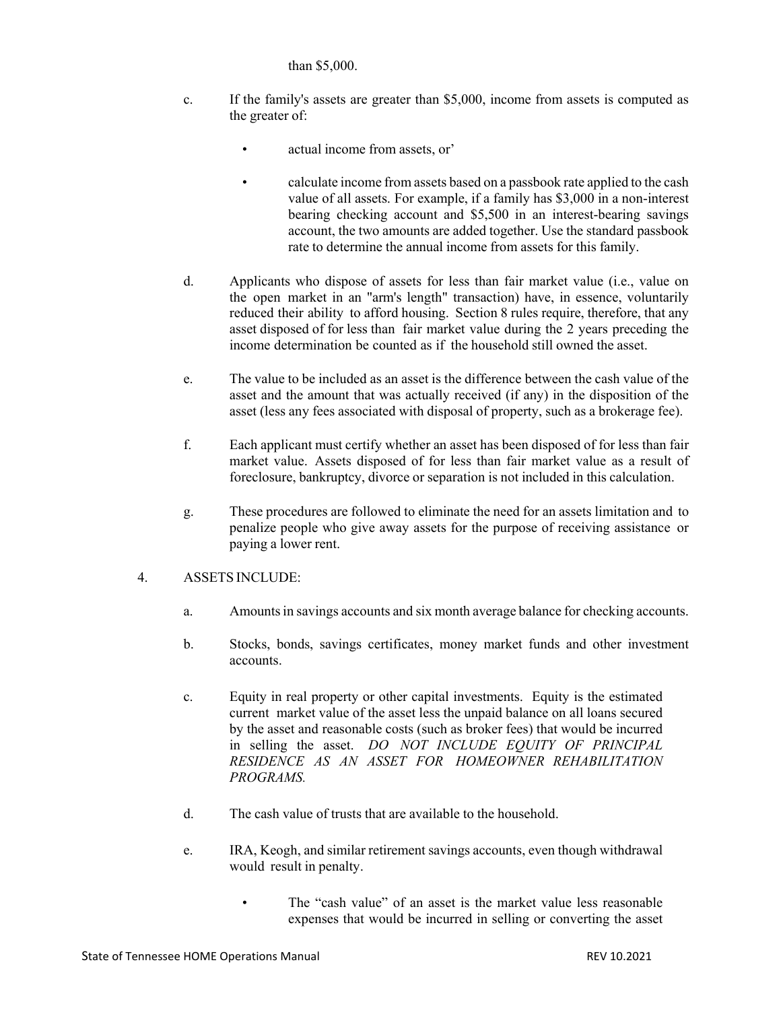#### than \$5,000.

- c. If the family's assets are greater than \$5,000, income from assets is computed as the greater of:
	- actual income from assets, or'
	- calculate income from assets based on a passbook rate applied to the cash value of all assets. For example, if a family has \$3,000 in a non-interest bearing checking account and \$5,500 in an interest-bearing savings account, the two amounts are added together. Use the standard passbook rate to determine the annual income from assets for this family.
- d. Applicants who dispose of assets for less than fair market value (i.e., value on the open market in an "arm's length" transaction) have, in essence, voluntarily reduced their ability to afford housing. Section 8 rules require, therefore, that any asset disposed of for less than fair market value during the 2 years preceding the income determination be counted as if the household still owned the asset.
- e. The value to be included as an asset is the difference between the cash value of the asset and the amount that was actually received (if any) in the disposition of the asset (less any fees associated with disposal of property, such as a brokerage fee).
- f. Each applicant must certify whether an asset has been disposed of for less than fair market value. Assets disposed of for less than fair market value as a result of foreclosure, bankruptcy, divorce or separation is not included in this calculation.
- g. These procedures are followed to eliminate the need for an assets limitation and to penalize people who give away assets for the purpose of receiving assistance or paying a lower rent.

## 4. ASSETS INCLUDE:

- a. Amountsin savings accounts and six month average balance for checking accounts.
- b. Stocks, bonds, savings certificates, money market funds and other investment accounts.
- c. Equity in real property or other capital investments. Equity is the estimated current market value of the asset less the unpaid balance on all loans secured by the asset and reasonable costs (such as broker fees) that would be incurred in selling the asset. *DO NOT INCLUDE EQUITY OF PRINCIPAL RESIDENCE AS AN ASSET FOR HOMEOWNER REHABILITATION PROGRAMS.*
- d. The cash value of trusts that are available to the household.
- e. IRA, Keogh, and similar retirement savings accounts, even though withdrawal would result in penalty.
	- The "cash value" of an asset is the market value less reasonable expenses that would be incurred in selling or converting the asset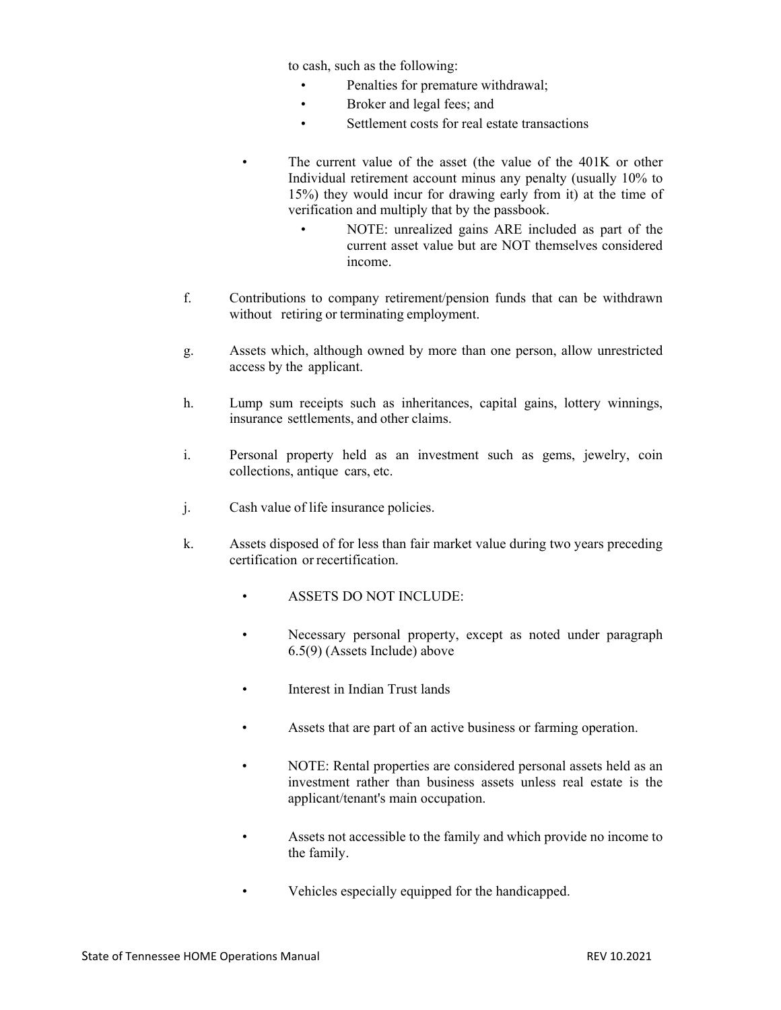to cash, such as the following:

- Penalties for premature withdrawal;
- Broker and legal fees; and
- Settlement costs for real estate transactions
- The current value of the asset (the value of the 401K or other Individual retirement account minus any penalty (usually 10% to 15%) they would incur for drawing early from it) at the time of verification and multiply that by the passbook.
	- NOTE: unrealized gains ARE included as part of the current asset value but are NOT themselves considered income.
- f. Contributions to company retirement/pension funds that can be withdrawn without retiring or terminating employment.
- g. Assets which, although owned by more than one person, allow unrestricted access by the applicant.
- h. Lump sum receipts such as inheritances, capital gains, lottery winnings, insurance settlements, and other claims.
- i. Personal property held as an investment such as gems, jewelry, coin collections, antique cars, etc.
- j. Cash value of life insurance policies.
- k. Assets disposed of for less than fair market value during two years preceding certification or recertification.
	- ASSETS DO NOT INCLUDE:
	- Necessary personal property, except as noted under paragraph 6.5(9) (Assets Include) above
	- Interest in Indian Trust lands
	- Assets that are part of an active business or farming operation.
	- NOTE: Rental properties are considered personal assets held as an investment rather than business assets unless real estate is the applicant/tenant's main occupation.
	- Assets not accessible to the family and which provide no income to the family.
		- Vehicles especially equipped for the handicapped.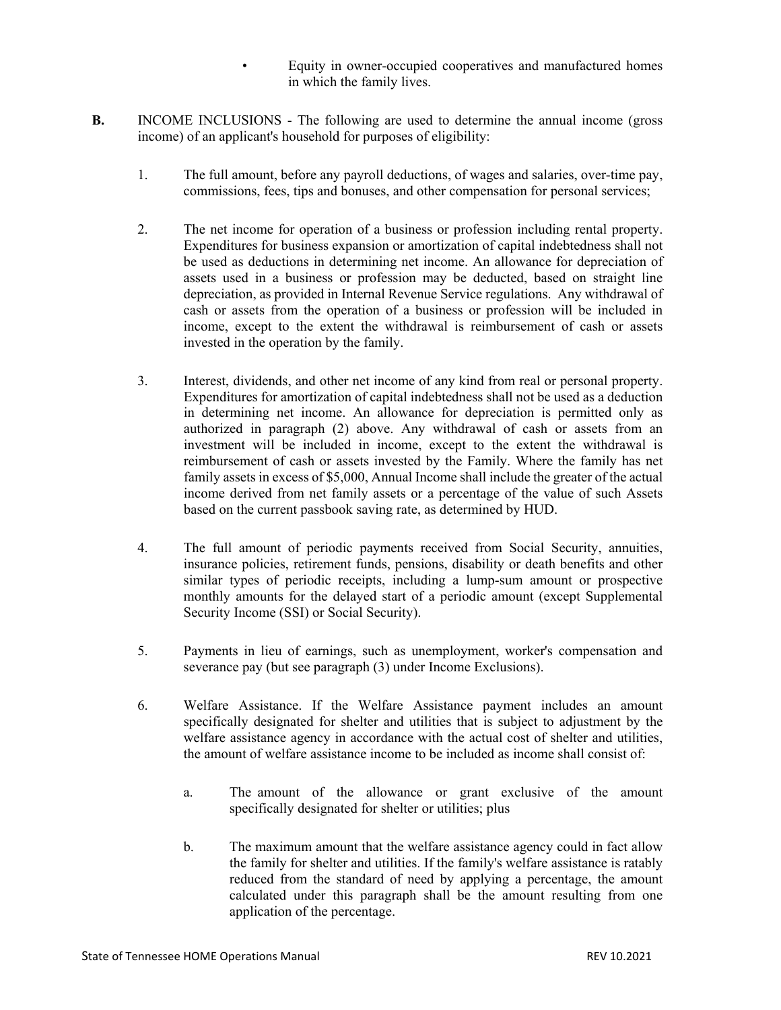- Equity in owner-occupied cooperatives and manufactured homes in which the family lives.
- **B.** INCOME INCLUSIONS The following are used to determine the annual income (gross income) of an applicant's household for purposes of eligibility:
	- 1. The full amount, before any payroll deductions, of wages and salaries, over-time pay, commissions, fees, tips and bonuses, and other compensation for personal services;
	- 2. The net income for operation of a business or profession including rental property. Expenditures for business expansion or amortization of capital indebtedness shall not be used as deductions in determining net income. An allowance for depreciation of assets used in a business or profession may be deducted, based on straight line depreciation, as provided in Internal Revenue Service regulations. Any withdrawal of cash or assets from the operation of a business or profession will be included in income, except to the extent the withdrawal is reimbursement of cash or assets invested in the operation by the family.
	- 3. Interest, dividends, and other net income of any kind from real or personal property. Expenditures for amortization of capital indebtedness shall not be used as a deduction in determining net income. An allowance for depreciation is permitted only as authorized in paragraph (2) above. Any withdrawal of cash or assets from an investment will be included in income, except to the extent the withdrawal is reimbursement of cash or assets invested by the Family. Where the family has net family assets in excess of \$5,000, Annual Income shall include the greater of the actual income derived from net family assets or a percentage of the value of such Assets based on the current passbook saving rate, as determined by HUD.
	- 4. The full amount of periodic payments received from Social Security, annuities, insurance policies, retirement funds, pensions, disability or death benefits and other similar types of periodic receipts, including a lump-sum amount or prospective monthly amounts for the delayed start of a periodic amount (except Supplemental Security Income (SSI) or Social Security).
	- 5. Payments in lieu of earnings, such as unemployment, worker's compensation and severance pay (but see paragraph (3) under Income Exclusions).
	- 6. Welfare Assistance. If the Welfare Assistance payment includes an amount specifically designated for shelter and utilities that is subject to adjustment by the welfare assistance agency in accordance with the actual cost of shelter and utilities, the amount of welfare assistance income to be included as income shall consist of:
		- a. The amount of the allowance or grant exclusive of the amount specifically designated for shelter or utilities; plus
		- b. The maximum amount that the welfare assistance agency could in fact allow the family for shelter and utilities. If the family's welfare assistance is ratably reduced from the standard of need by applying a percentage, the amount calculated under this paragraph shall be the amount resulting from one application of the percentage.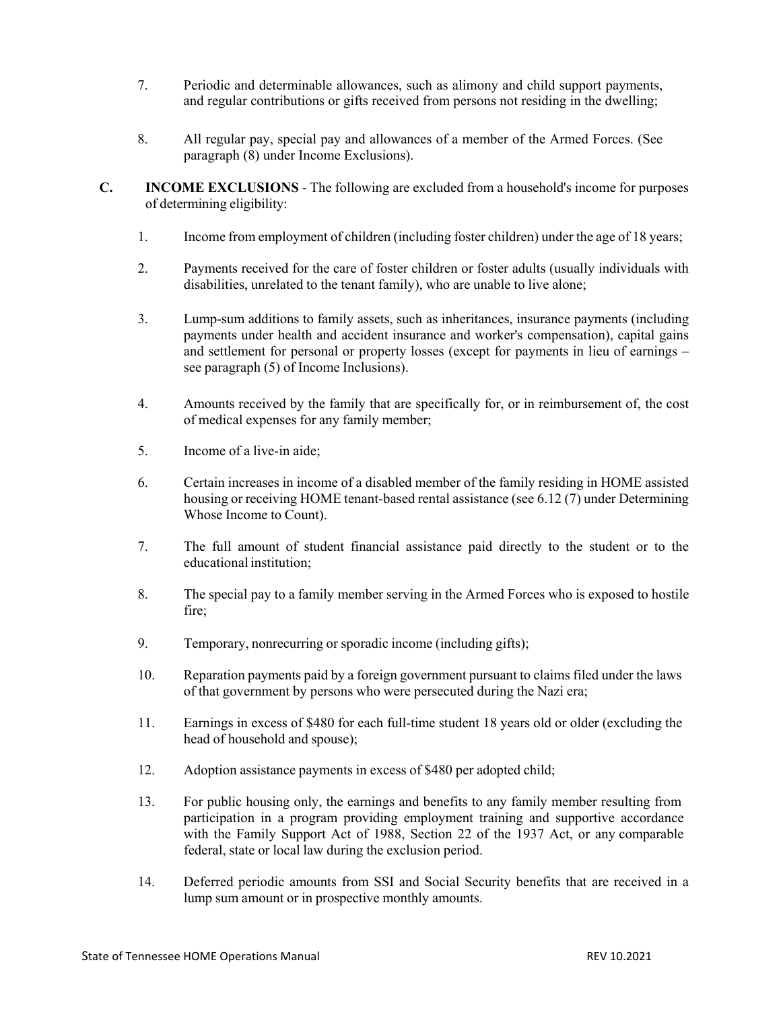- 7. Periodic and determinable allowances, such as alimony and child support payments, and regular contributions or gifts received from persons not residing in the dwelling;
- 8. All regular pay, special pay and allowances of a member of the Armed Forces. (See paragraph (8) under Income Exclusions).
- **C. INCOME EXCLUSIONS** The following are excluded from a household's income for purposes of determining eligibility:
	- 1. Income from employment of children (including foster children) under the age of 18 years;
	- 2. Payments received for the care of foster children or foster adults (usually individuals with disabilities, unrelated to the tenant family), who are unable to live alone;
	- 3. Lump-sum additions to family assets, such as inheritances, insurance payments (including payments under health and accident insurance and worker's compensation), capital gains and settlement for personal or property losses (except for payments in lieu of earnings – see paragraph (5) of Income Inclusions).
	- 4. Amounts received by the family that are specifically for, or in reimbursement of, the cost of medical expenses for any family member;
	- 5. Income of a live-in aide;
	- 6. Certain increases in income of a disabled member of the family residing in HOME assisted housing or receiving HOME tenant-based rental assistance (see 6.12 (7) under Determining Whose Income to Count).
	- 7. The full amount of student financial assistance paid directly to the student or to the educational institution;
	- 8. The special pay to a family member serving in the Armed Forces who is exposed to hostile fire;
	- 9. Temporary, nonrecurring or sporadic income (including gifts);
	- 10. Reparation payments paid by a foreign government pursuant to claims filed under the laws of that government by persons who were persecuted during the Nazi era;
	- 11. Earnings in excess of \$480 for each full-time student 18 years old or older (excluding the head of household and spouse);
	- 12. Adoption assistance payments in excess of \$480 per adopted child;
	- 13. For public housing only, the earnings and benefits to any family member resulting from participation in a program providing employment training and supportive accordance with the Family Support Act of 1988, Section 22 of the 1937 Act, or any comparable federal, state or local law during the exclusion period.
	- 14. Deferred periodic amounts from SSI and Social Security benefits that are received in a lump sum amount or in prospective monthly amounts.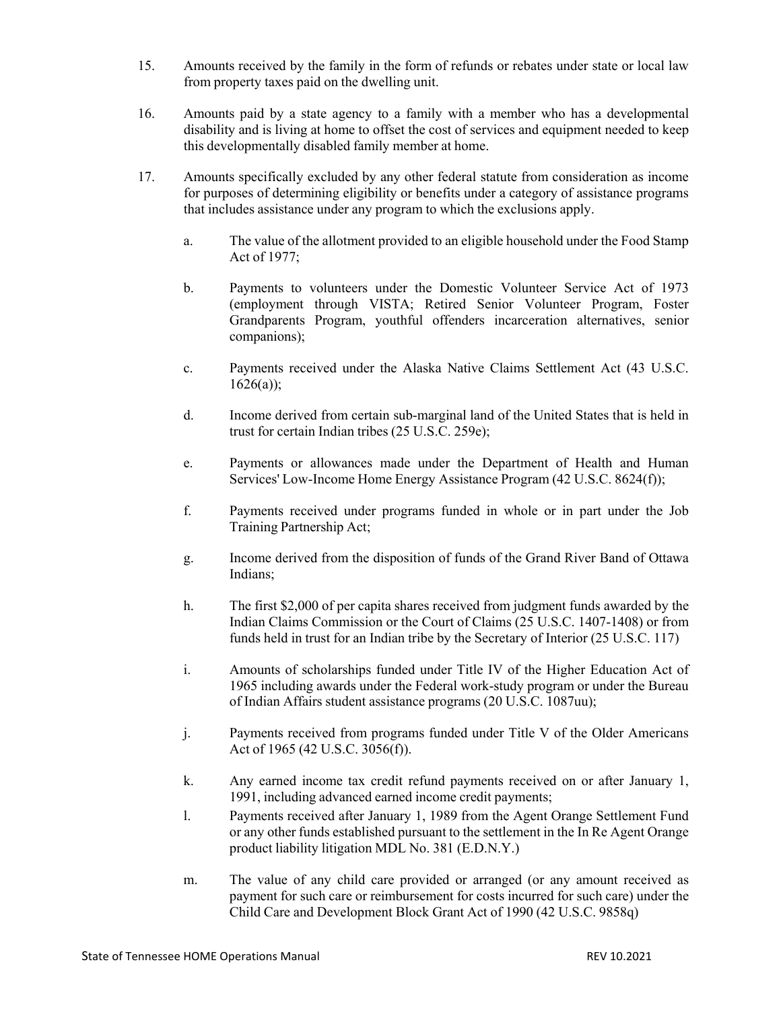- 15. Amounts received by the family in the form of refunds or rebates under state or local law from property taxes paid on the dwelling unit.
- 16. Amounts paid by a state agency to a family with a member who has a developmental disability and is living at home to offset the cost of services and equipment needed to keep this developmentally disabled family member at home.
- 17. Amounts specifically excluded by any other federal statute from consideration as income for purposes of determining eligibility or benefits under a category of assistance programs that includes assistance under any program to which the exclusions apply.
	- a. The value of the allotment provided to an eligible household under the Food Stamp Act of 1977;
	- b. Payments to volunteers under the Domestic Volunteer Service Act of 1973 (employment through VISTA; Retired Senior Volunteer Program, Foster Grandparents Program, youthful offenders incarceration alternatives, senior companions);
	- c. Payments received under the Alaska Native Claims Settlement Act (43 U.S.C.  $1626(a)$ ;
	- d. Income derived from certain sub-marginal land of the United States that is held in trust for certain Indian tribes (25 U.S.C. 259e);
	- e. Payments or allowances made under the Department of Health and Human Services' Low-Income Home Energy Assistance Program (42 U.S.C. 8624(f));
	- f. Payments received under programs funded in whole or in part under the Job Training Partnership Act;
	- g. Income derived from the disposition of funds of the Grand River Band of Ottawa Indians;
	- h. The first \$2,000 of per capita shares received from judgment funds awarded by the Indian Claims Commission or the Court of Claims (25 U.S.C. 1407-1408) or from funds held in trust for an Indian tribe by the Secretary of Interior (25 U.S.C. 117)
	- i. Amounts of scholarships funded under Title IV of the Higher Education Act of 1965 including awards under the Federal work-study program or under the Bureau of Indian Affairs student assistance programs (20 U.S.C. 1087uu);
	- j. Payments received from programs funded under Title V of the Older Americans Act of 1965 (42 U.S.C. 3056(f)).
	- k. Any earned income tax credit refund payments received on or after January 1, 1991, including advanced earned income credit payments;
	- l. Payments received after January 1, 1989 from the Agent Orange Settlement Fund or any other funds established pursuant to the settlement in the In Re Agent Orange product liability litigation MDL No. 381 (E.D.N.Y.)
	- m. The value of any child care provided or arranged (or any amount received as payment for such care or reimbursement for costs incurred for such care) under the Child Care and Development Block Grant Act of 1990 (42 U.S.C. 9858q)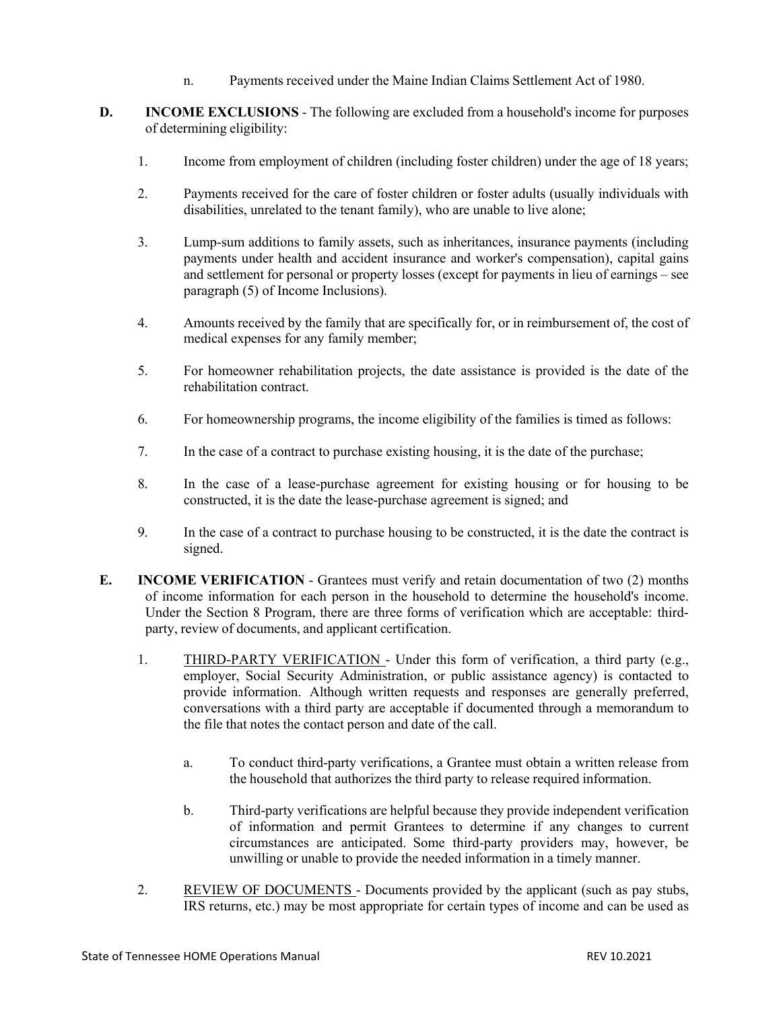- n. Payments received under the Maine Indian Claims Settlement Act of 1980.
- **D. INCOME EXCLUSIONS** The following are excluded from a household's income for purposes of determining eligibility:
	- 1. Income from employment of children (including foster children) under the age of 18 years;
	- 2. Payments received for the care of foster children or foster adults (usually individuals with disabilities, unrelated to the tenant family), who are unable to live alone;
	- 3. Lump-sum additions to family assets, such as inheritances, insurance payments (including payments under health and accident insurance and worker's compensation), capital gains and settlement for personal or property losses (except for payments in lieu of earnings – see paragraph (5) of Income Inclusions).
	- 4. Amounts received by the family that are specifically for, or in reimbursement of, the cost of medical expenses for any family member;
	- 5. For homeowner rehabilitation projects, the date assistance is provided is the date of the rehabilitation contract.
	- 6. For homeownership programs, the income eligibility of the families is timed as follows:
	- 7. In the case of a contract to purchase existing housing, it is the date of the purchase;
	- 8. In the case of a lease-purchase agreement for existing housing or for housing to be constructed, it is the date the lease-purchase agreement is signed; and
	- 9. In the case of a contract to purchase housing to be constructed, it is the date the contract is signed.
- **E. INCOME VERIFICATION** Grantees must verify and retain documentation of two (2) months of income information for each person in the household to determine the household's income. Under the Section 8 Program, there are three forms of verification which are acceptable: thirdparty, review of documents, and applicant certification.
	- 1. THIRD-PARTY VERIFICATION Under this form of verification, a third party (e.g., employer, Social Security Administration, or public assistance agency) is contacted to provide information. Although written requests and responses are generally preferred, conversations with a third party are acceptable if documented through a memorandum to the file that notes the contact person and date of the call.
		- a. To conduct third-party verifications, a Grantee must obtain a written release from the household that authorizes the third party to release required information.
		- b. Third-party verifications are helpful because they provide independent verification of information and permit Grantees to determine if any changes to current circumstances are anticipated. Some third-party providers may, however, be unwilling or unable to provide the needed information in a timely manner.
	- 2. REVIEW OF DOCUMENTS Documents provided by the applicant (such as pay stubs, IRS returns, etc.) may be most appropriate for certain types of income and can be used as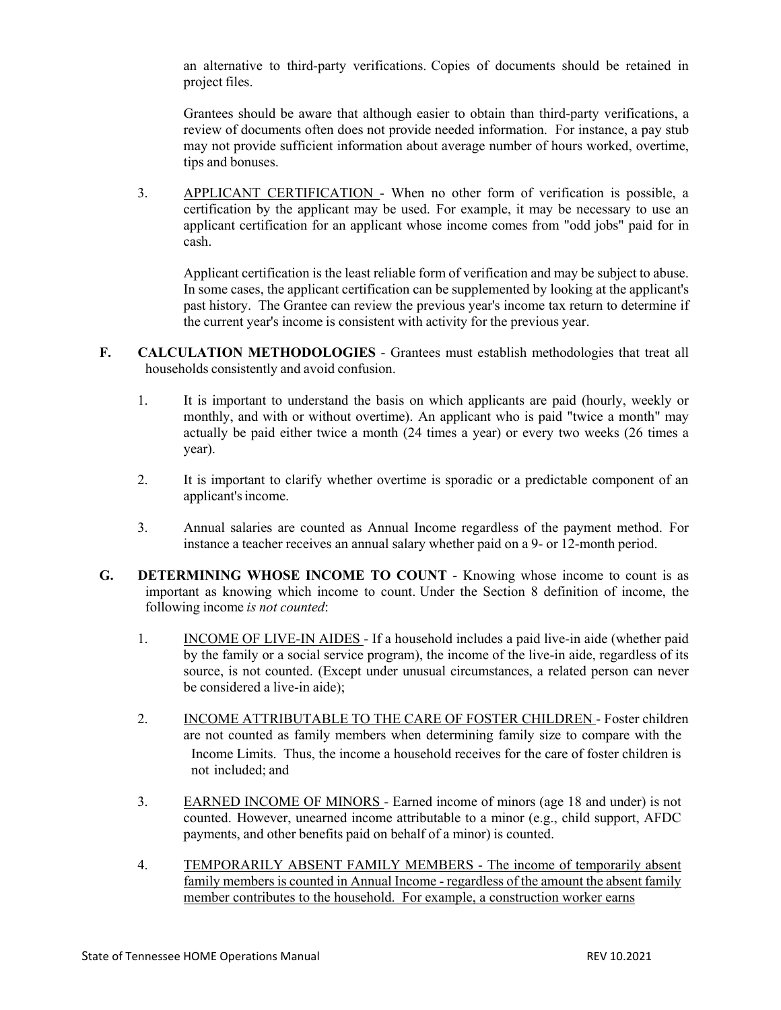an alternative to third-party verifications. Copies of documents should be retained in project files.

Grantees should be aware that although easier to obtain than third-party verifications, a review of documents often does not provide needed information. For instance, a pay stub may not provide sufficient information about average number of hours worked, overtime, tips and bonuses.

3. APPLICANT CERTIFICATION - When no other form of verification is possible, a certification by the applicant may be used. For example, it may be necessary to use an applicant certification for an applicant whose income comes from "odd jobs" paid for in cash.

Applicant certification is the least reliable form of verification and may be subject to abuse. In some cases, the applicant certification can be supplemented by looking at the applicant's past history. The Grantee can review the previous year's income tax return to determine if the current year's income is consistent with activity for the previous year.

- **F. CALCULATION METHODOLOGIES** Grantees must establish methodologies that treat all households consistently and avoid confusion.
	- 1. It is important to understand the basis on which applicants are paid (hourly, weekly or monthly, and with or without overtime). An applicant who is paid "twice a month" may actually be paid either twice a month (24 times a year) or every two weeks (26 times a year).
	- 2. It is important to clarify whether overtime is sporadic or a predictable component of an applicant's income.
	- 3. Annual salaries are counted as Annual Income regardless of the payment method. For instance a teacher receives an annual salary whether paid on a 9- or 12-month period.
- **G. DETERMINING WHOSE INCOME TO COUNT** Knowing whose income to count is as important as knowing which income to count. Under the Section 8 definition of income, the following income *is not counted*:
	- 1. INCOME OF LIVE-IN AIDES If a household includes a paid live-in aide (whether paid by the family or a social service program), the income of the live-in aide, regardless of its source, is not counted. (Except under unusual circumstances, a related person can never be considered a live-in aide);
	- 2. INCOME ATTRIBUTABLE TO THE CARE OF FOSTER CHILDREN Foster children are not counted as family members when determining family size to compare with the Income Limits. Thus, the income a household receives for the care of foster children is not included; and
	- 3. EARNED INCOME OF MINORS Earned income of minors (age 18 and under) is not counted. However, unearned income attributable to a minor (e.g., child support, AFDC payments, and other benefits paid on behalf of a minor) is counted.
	- 4. TEMPORARILY ABSENT FAMILY MEMBERS The income of temporarily absent family members is counted in Annual Income - regardless of the amount the absent family member contributes to the household. For example, a construction worker earns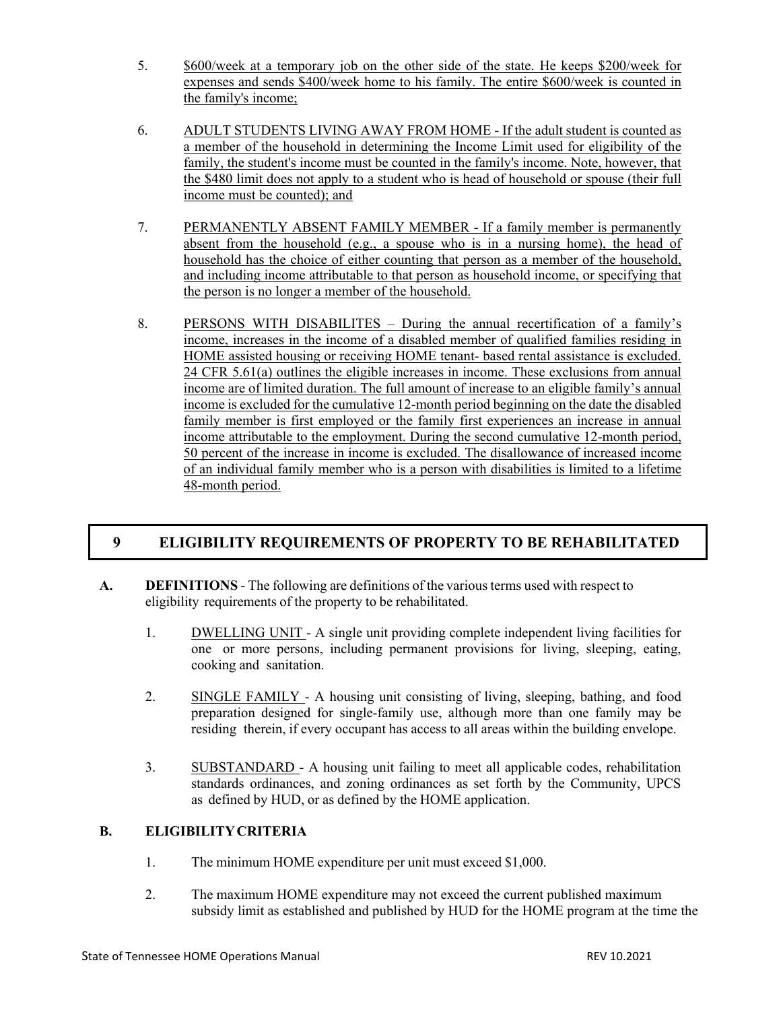- 5. \$600/week at a temporary job on the other side of the state. He keeps \$200/week for expenses and sends \$400/week home to his family. The entire \$600/week is counted in the family's income;
- 6. ADULT STUDENTS LIVING AWAY FROM HOME If the adult student is counted as a member of the household in determining the Income Limit used for eligibility of the family, the student's income must be counted in the family's income. Note, however, that the \$480 limit does not apply to a student who is head of household or spouse (their full income must be counted); and
- 7. PERMANENTLY ABSENT FAMILY MEMBER If a family member is permanently absent from the household (e.g., a spouse who is in a nursing home), the head of household has the choice of either counting that person as a member of the household, and including income attributable to that person as household income, or specifying that the person is no longer a member of the household.
- 8. PERSONS WITH DISABILITES During the annual recertification of a family's income, increases in the income of a disabled member of qualified families residing in HOME assisted housing or receiving HOME tenant- based rental assistance is excluded. 24 CFR 5.61(a) outlines the eligible increases in income. These exclusions from annual income are of limited duration. The full amount of increase to an eligible family's annual income is excluded for the cumulative 12-month period beginning on the date the disabled family member is first employed or the family first experiences an increase in annual income attributable to the employment. During the second cumulative 12-month period, 50 percent of the increase in income is excluded. The disallowance of increased income of an individual family member who is a person with disabilities is limited to a lifetime 48-month period.

# **9 ELIGIBILITY REQUIREMENTS OF PROPERTY TO BE REHABILITATED**

- **A. DEFINITIONS** The following are definitions of the variousterms used with respect to eligibility requirements of the property to be rehabilitated.
	- 1. DWELLING UNIT A single unit providing complete independent living facilities for one or more persons, including permanent provisions for living, sleeping, eating, cooking and sanitation.
	- 2. SINGLE FAMILY A housing unit consisting of living, sleeping, bathing, and food preparation designed for single-family use, although more than one family may be residing therein, if every occupant has access to all areas within the building envelope.
	- 3. SUBSTANDARD A housing unit failing to meet all applicable codes, rehabilitation standards ordinances, and zoning ordinances as set forth by the Community, UPCS as defined by HUD, or as defined by the HOME application.

## **B. ELIGIBILITYCRITERIA**

- 1. The minimum HOME expenditure per unit must exceed \$1,000.
- 2. The maximum HOME expenditure may not exceed the current published maximum subsidy limit as established and published by HUD for the HOME program at the time the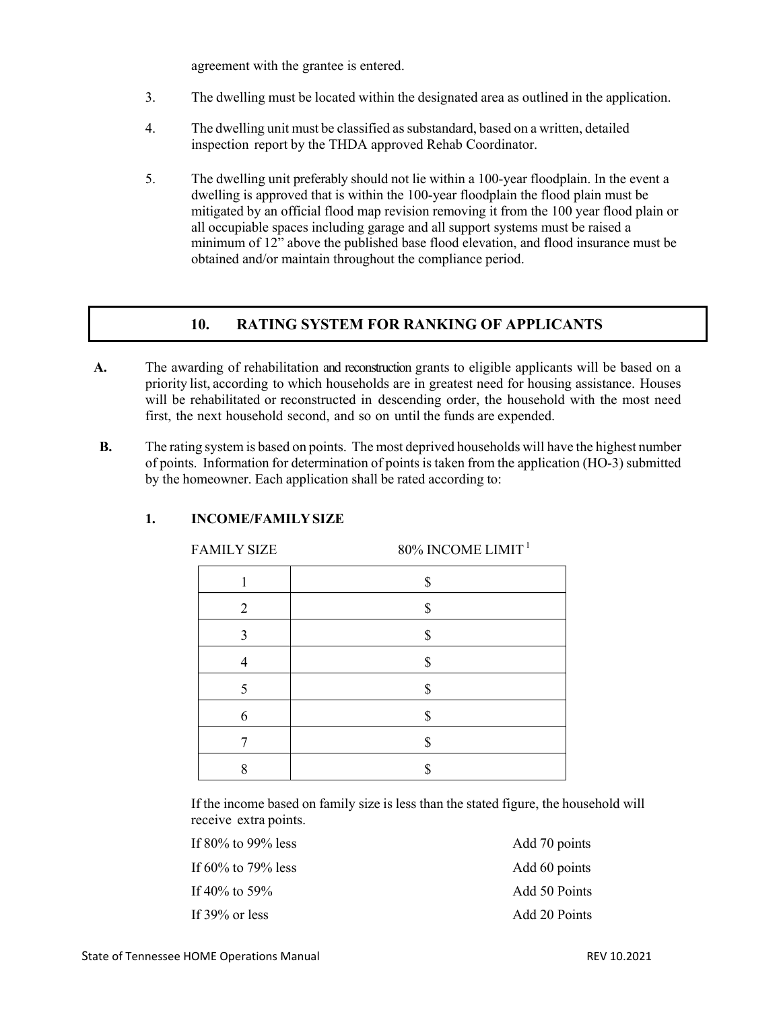agreement with the grantee is entered.

- 3. The dwelling must be located within the designated area as outlined in the application.
- 4. The dwelling unit must be classified assubstandard, based on a written, detailed inspection report by the THDA approved Rehab Coordinator.
- 5. The dwelling unit preferably should not lie within a 100-year floodplain. In the event a dwelling is approved that is within the 100-year floodplain the flood plain must be mitigated by an official flood map revision removing it from the 100 year flood plain or all occupiable spaces including garage and all support systems must be raised a minimum of 12" above the published base flood elevation, and flood insurance must be obtained and/or maintain throughout the compliance period.

## **10. RATING SYSTEM FOR RANKING OF APPLICANTS**

- **A.** The awarding of rehabilitation and reconstruction grants to eligible applicants will be based on a priority list, according to which households are in greatest need for housing assistance. Houses will be rehabilitated or reconstructed in descending order, the household with the most need first, the next household second, and so on until the funds are expended.
- **B.** The rating system is based on points. The most deprived households will have the highest number of points. Information for determination of points is taken from the application (HO-3) submitted by the homeowner. Each application shall be rated according to:

| <b>FAMILY SIZE</b> | 80% INCOME LIMIT <sup>1</sup> |
|--------------------|-------------------------------|
|                    | \$                            |
| 2                  | S                             |
| 3                  | ¢                             |
|                    | \$                            |
| 5                  | \$                            |
| 6                  |                               |
|                    | Ф                             |
|                    |                               |

## **1. INCOME/FAMILYSIZE**

If the income based on family size is less than the stated figure, the household will receive extra points.

If 80% to 99% less Add 70 points If 60% to 79% less Add 60 points If 40% to 59% Add 50 Points If 39% or less Add 20 Points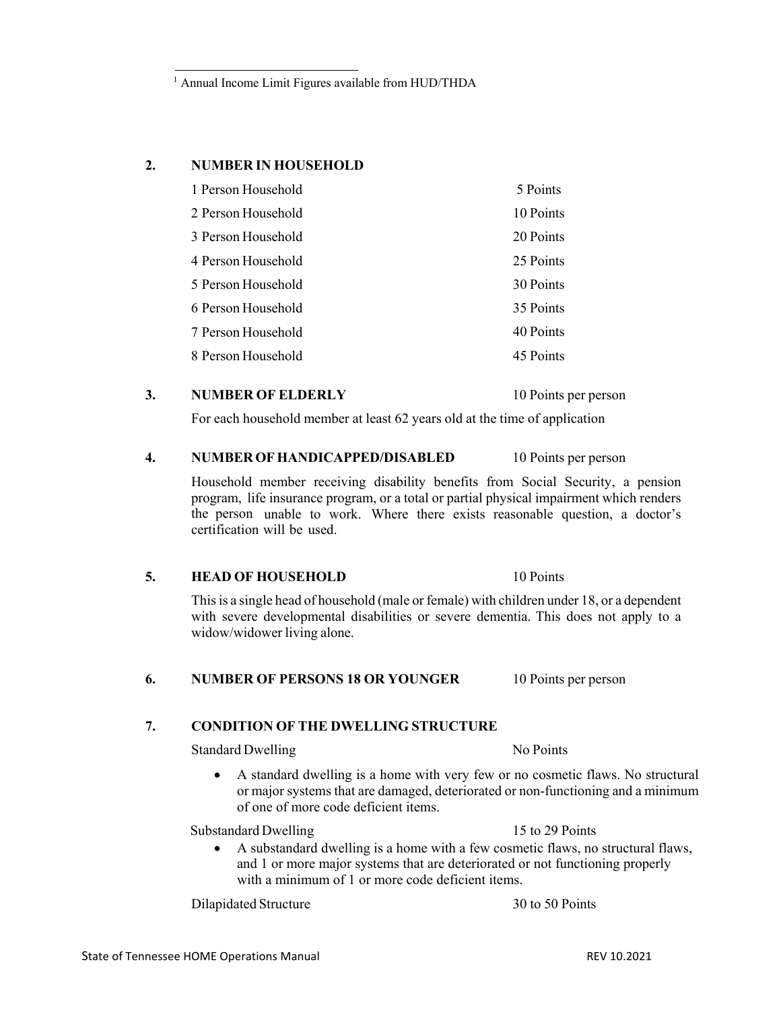Household member receiving disability benefits from Social Security, a pension program, life insurance program, or a total or partial physical impairment which renders the person unable to work. Where there exists reasonable question, a doctor's certification will be used.

#### **5. HEAD OF HOUSEHOLD** 10 Points

Thisis a single head of household (male or female) with children under 18, or a dependent with severe developmental disabilities or severe dementia. This does not apply to a widow/widower living alone.

## **6. NUMBER OF PERSONS 18 OR YOUNGER** 10 Points per person

#### **7. CONDITION OF THE DWELLING STRUCTURE**

### Standard Dwelling No Points

• A standard dwelling is a home with very few or no cosmetic flaws. No structural or major systems that are damaged, deteriorated or non-functioning and a minimum of one of more code deficient items.

Substandard Dwelling 15 to 29 Points

• A substandard dwelling is a home with a few cosmetic flaws, no structural flaws, and 1 or more major systems that are deteriorated or not functioning properly with a minimum of 1 or more code deficient items.

Dilapidated Structure 30 to 50 Points

## <sup>1</sup> Annual Income Limit Figures available from HUD/THDA

#### **2. NUMBER IN HOUSEHOLD**

| 1 Person Household | 5 Points  |
|--------------------|-----------|
| 2 Person Household | 10 Points |
| 3 Person Household | 20 Points |
| 4 Person Household | 25 Points |
| 5 Person Household | 30 Points |
| 6 Person Household | 35 Points |
| 7 Person Household | 40 Points |
| 8 Person Household | 45 Points |

**3. NUMBER OF ELDERLY** 10 Points per person

**4. NUMBEROFHANDICAPPED/DISABLED** 10 Points per person

For each household member at least 62 years old at the time of application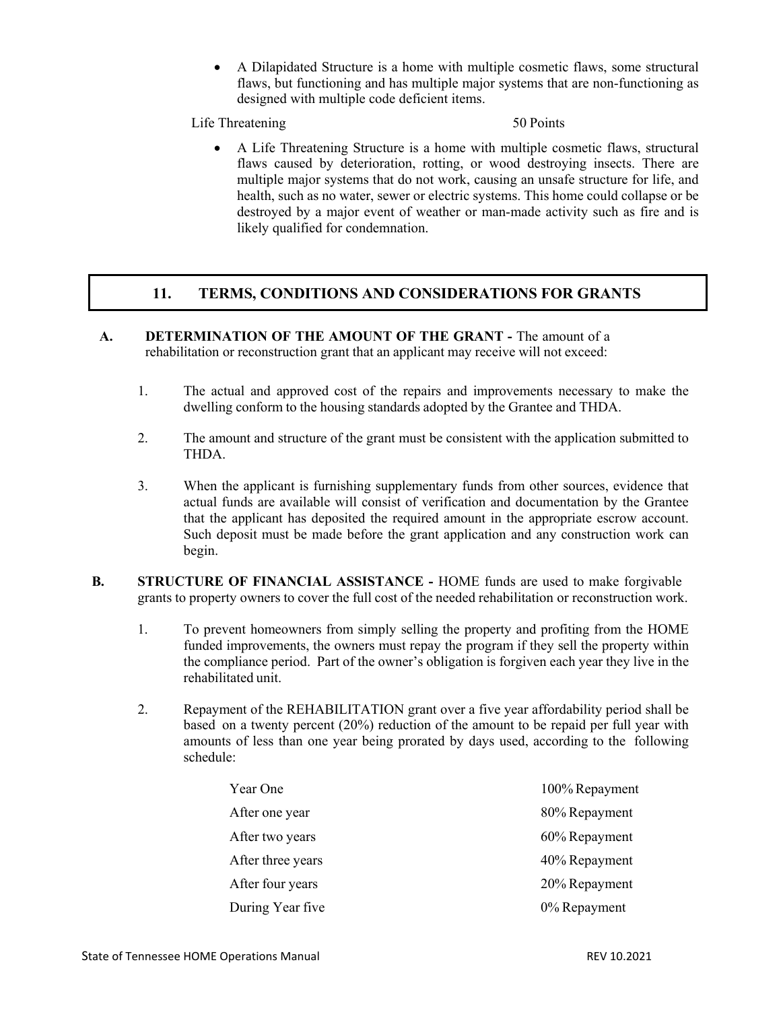• A Dilapidated Structure is a home with multiple cosmetic flaws, some structural flaws, but functioning and has multiple major systems that are non-functioning as designed with multiple code deficient items.

Life Threatening 50 Points

• A Life Threatening Structure is a home with multiple cosmetic flaws, structural flaws caused by deterioration, rotting, or wood destroying insects. There are multiple major systems that do not work, causing an unsafe structure for life, and health, such as no water, sewer or electric systems. This home could collapse or be destroyed by a major event of weather or man-made activity such as fire and is likely qualified for condemnation.

# **11. TERMS, CONDITIONS AND CONSIDERATIONS FOR GRANTS**

- **A. DETERMINATION OF THE AMOUNT OF THE GRANT -** The amount of a rehabilitation or reconstruction grant that an applicant may receive will not exceed:
	- 1. The actual and approved cost of the repairs and improvements necessary to make the dwelling conform to the housing standards adopted by the Grantee and THDA.
	- 2. The amount and structure of the grant must be consistent with the application submitted to THDA.
	- 3. When the applicant is furnishing supplementary funds from other sources, evidence that actual funds are available will consist of verification and documentation by the Grantee that the applicant has deposited the required amount in the appropriate escrow account. Such deposit must be made before the grant application and any construction work can begin.
- **B. STRUCTURE OF FINANCIAL ASSISTANCE -** HOME funds are used to make forgivable grants to property owners to cover the full cost of the needed rehabilitation or reconstruction work.
	- 1. To prevent homeowners from simply selling the property and profiting from the HOME funded improvements, the owners must repay the program if they sell the property within the compliance period. Part of the owner's obligation is forgiven each year they live in the rehabilitated unit.
	- 2. Repayment of the REHABILITATION grant over a five year affordability period shall be based on a twenty percent (20%) reduction of the amount to be repaid per full year with amounts of less than one year being prorated by days used, according to the following schedule:

| Year One          | 100% Repayment |
|-------------------|----------------|
| After one year    | 80% Repayment  |
| After two years   | 60% Repayment  |
| After three years | 40% Repayment  |
| After four years  | 20% Repayment  |
| During Year five  | 0% Repayment   |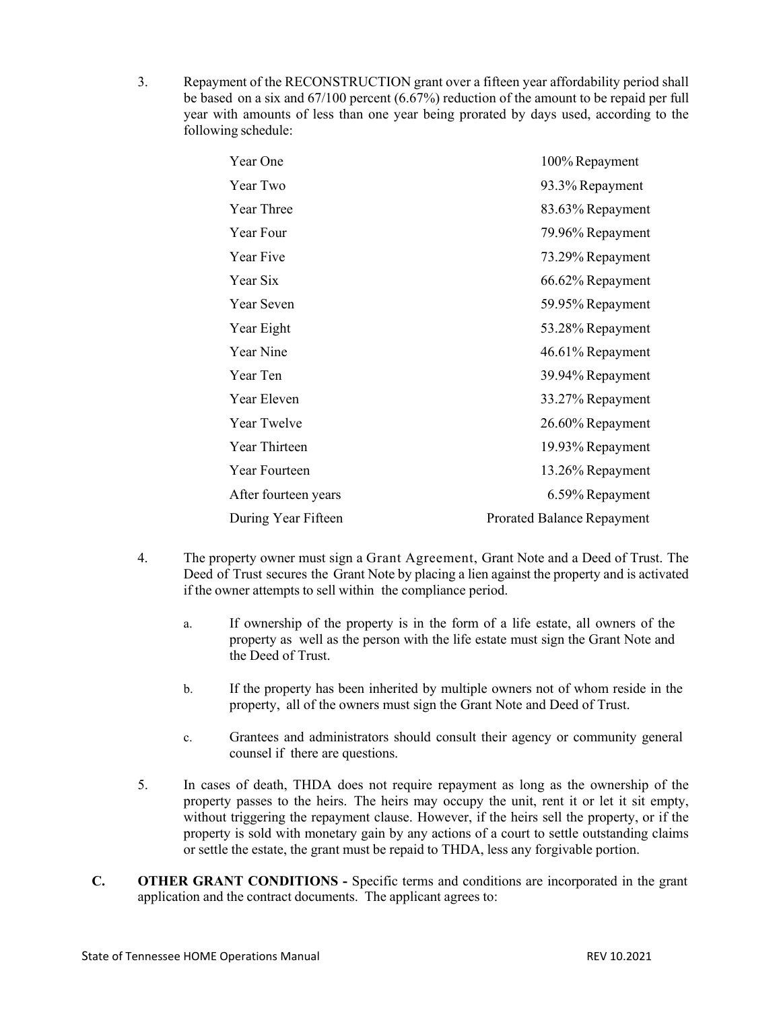3. Repayment of the RECONSTRUCTION grant over a fifteen year affordability period shall be based on a six and 67/100 percent (6.67%) reduction of the amount to be repaid per full year with amounts of less than one year being prorated by days used, according to the following schedule:

| Year One             | 100% Repayment                    |
|----------------------|-----------------------------------|
| Year Two             | 93.3% Repayment                   |
| <b>Year Three</b>    | 83.63% Repayment                  |
| Year Four            | 79.96% Repayment                  |
| Year Five            | 73.29% Repayment                  |
| Year Six             | 66.62% Repayment                  |
| Year Seven           | 59.95% Repayment                  |
| Year Eight           | 53.28% Repayment                  |
| <b>Year Nine</b>     | 46.61% Repayment                  |
| Year Ten             | 39.94% Repayment                  |
| Year Eleven          | 33.27% Repayment                  |
| Year Twelve          | 26.60% Repayment                  |
| Year Thirteen        | 19.93% Repayment                  |
| Year Fourteen        | 13.26% Repayment                  |
| After fourteen years | 6.59% Repayment                   |
| During Year Fifteen  | <b>Prorated Balance Repayment</b> |

- 4. The property owner must sign a Grant Agreement, Grant Note and a Deed of Trust. The Deed of Trust secures the Grant Note by placing a lien against the property and is activated if the owner attempts to sell within the compliance period.
	- a. If ownership of the property is in the form of a life estate, all owners of the property as well as the person with the life estate must sign the Grant Note and the Deed of Trust.
	- b. If the property has been inherited by multiple owners not of whom reside in the property, all of the owners must sign the Grant Note and Deed of Trust.
	- c. Grantees and administrators should consult their agency or community general counsel if there are questions.
- 5. In cases of death, THDA does not require repayment as long as the ownership of the property passes to the heirs. The heirs may occupy the unit, rent it or let it sit empty, without triggering the repayment clause. However, if the heirs sell the property, or if the property is sold with monetary gain by any actions of a court to settle outstanding claims or settle the estate, the grant must be repaid to THDA, less any forgivable portion.
- **C. OTHER GRANT CONDITIONS -** Specific terms and conditions are incorporated in the grant application and the contract documents. The applicant agrees to: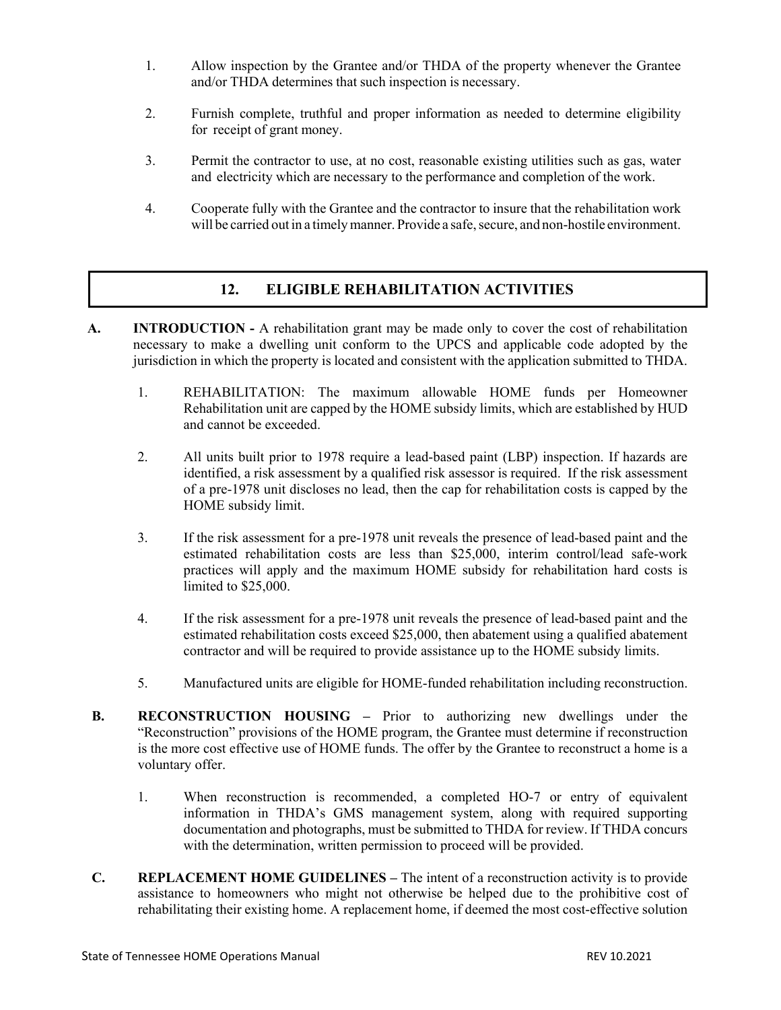- 1. Allow inspection by the Grantee and/or THDA of the property whenever the Grantee and/or THDA determines that such inspection is necessary.
- 2. Furnish complete, truthful and proper information as needed to determine eligibility for receipt of grant money.
- 3. Permit the contractor to use, at no cost, reasonable existing utilities such as gas, water and electricity which are necessary to the performance and completion of the work.
- 4. Cooperate fully with the Grantee and the contractor to insure that the rehabilitation work will be carried out in a timely manner. Provide a safe, secure, and non-hostile environment.

# **12. ELIGIBLE REHABILITATION ACTIVITIES**

- **A. INTRODUCTION -** A rehabilitation grant may be made only to cover the cost of rehabilitation necessary to make a dwelling unit conform to the UPCS and applicable code adopted by the jurisdiction in which the property is located and consistent with the application submitted to THDA.
	- 1. REHABILITATION: The maximum allowable HOME funds per Homeowner Rehabilitation unit are capped by the HOME subsidy limits, which are established by HUD and cannot be exceeded.
	- 2. All units built prior to 1978 require a lead-based paint (LBP) inspection. If hazards are identified, a risk assessment by a qualified risk assessor is required. If the risk assessment of a pre-1978 unit discloses no lead, then the cap for rehabilitation costs is capped by the HOME subsidy limit.
	- 3. If the risk assessment for a pre-1978 unit reveals the presence of lead-based paint and the estimated rehabilitation costs are less than \$25,000, interim control/lead safe-work practices will apply and the maximum HOME subsidy for rehabilitation hard costs is limited to \$25,000.
	- 4. If the risk assessment for a pre-1978 unit reveals the presence of lead-based paint and the estimated rehabilitation costs exceed \$25,000, then abatement using a qualified abatement contractor and will be required to provide assistance up to the HOME subsidy limits.
	- 5. Manufactured units are eligible for HOME-funded rehabilitation including reconstruction.
- **B. RECONSTRUCTION HOUSING –** Prior to authorizing new dwellings under the "Reconstruction" provisions of the HOME program, the Grantee must determine if reconstruction is the more cost effective use of HOME funds. The offer by the Grantee to reconstruct a home is a voluntary offer.
	- 1. When reconstruction is recommended, a completed HO-7 or entry of equivalent information in THDA's GMS management system, along with required supporting documentation and photographs, must be submitted to THDA for review. If THDA concurs with the determination, written permission to proceed will be provided.
- **C. REPLACEMENT HOME GUIDELINES –** The intent of a reconstruction activity is to provide assistance to homeowners who might not otherwise be helped due to the prohibitive cost of rehabilitating their existing home. A replacement home, if deemed the most cost-effective solution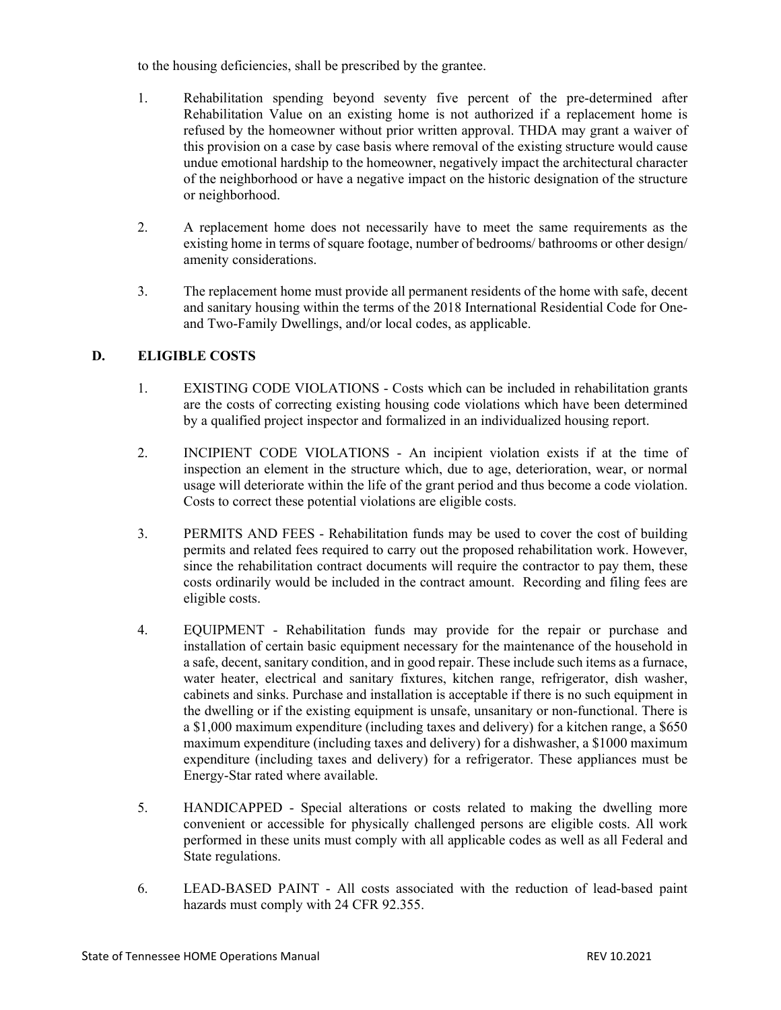to the housing deficiencies, shall be prescribed by the grantee.

- 1. Rehabilitation spending beyond seventy five percent of the pre-determined after Rehabilitation Value on an existing home is not authorized if a replacement home is refused by the homeowner without prior written approval. THDA may grant a waiver of this provision on a case by case basis where removal of the existing structure would cause undue emotional hardship to the homeowner, negatively impact the architectural character of the neighborhood or have a negative impact on the historic designation of the structure or neighborhood.
- 2. A replacement home does not necessarily have to meet the same requirements as the existing home in terms of square footage, number of bedrooms/ bathrooms or other design/ amenity considerations.
- 3. The replacement home must provide all permanent residents of the home with safe, decent and sanitary housing within the terms of the 2018 International Residential Code for Oneand Two-Family Dwellings, and/or local codes, as applicable.

## **D. ELIGIBLE COSTS**

- 1. EXISTING CODE VIOLATIONS Costs which can be included in rehabilitation grants are the costs of correcting existing housing code violations which have been determined by a qualified project inspector and formalized in an individualized housing report.
- 2. INCIPIENT CODE VIOLATIONS An incipient violation exists if at the time of inspection an element in the structure which, due to age, deterioration, wear, or normal usage will deteriorate within the life of the grant period and thus become a code violation. Costs to correct these potential violations are eligible costs.
- 3. PERMITS AND FEES Rehabilitation funds may be used to cover the cost of building permits and related fees required to carry out the proposed rehabilitation work. However, since the rehabilitation contract documents will require the contractor to pay them, these costs ordinarily would be included in the contract amount. Recording and filing fees are eligible costs.
- 4. EQUIPMENT Rehabilitation funds may provide for the repair or purchase and installation of certain basic equipment necessary for the maintenance of the household in a safe, decent, sanitary condition, and in good repair. These include such items as a furnace, water heater, electrical and sanitary fixtures, kitchen range, refrigerator, dish washer, cabinets and sinks. Purchase and installation is acceptable if there is no such equipment in the dwelling or if the existing equipment is unsafe, unsanitary or non-functional. There is a \$1,000 maximum expenditure (including taxes and delivery) for a kitchen range, a \$650 maximum expenditure (including taxes and delivery) for a dishwasher, a \$1000 maximum expenditure (including taxes and delivery) for a refrigerator. These appliances must be Energy-Star rated where available.
- 5. HANDICAPPED Special alterations or costs related to making the dwelling more convenient or accessible for physically challenged persons are eligible costs. All work performed in these units must comply with all applicable codes as well as all Federal and State regulations.
- 6. LEAD-BASED PAINT All costs associated with the reduction of lead-based paint hazards must comply with 24 CFR 92.355.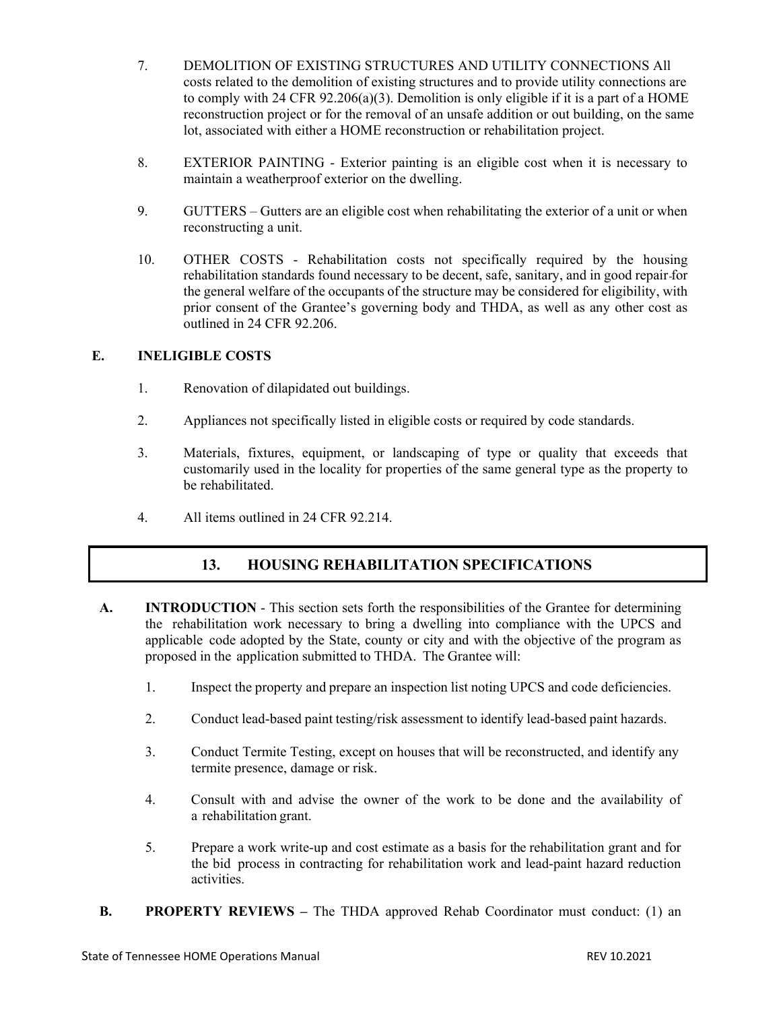- 7. DEMOLITION OF EXISTING STRUCTURES AND UTILITY CONNECTIONS All costs related to the demolition of existing structures and to provide utility connections are to comply with 24 CFR 92.206(a)(3). Demolition is only eligible if it is a part of a HOME reconstruction project or for the removal of an unsafe addition or out building, on the same lot, associated with either a HOME reconstruction or rehabilitation project.
- 8. EXTERIOR PAINTING Exterior painting is an eligible cost when it is necessary to maintain a weatherproof exterior on the dwelling.
- 9. GUTTERS Gutters are an eligible cost when rehabilitating the exterior of a unit or when reconstructing a unit.
- 10. OTHER COSTS Rehabilitation costs not specifically required by the housing rehabilitation standards found necessary to be decent, safe, sanitary, and in good repair for the general welfare of the occupants of the structure may be considered for eligibility, with prior consent of the Grantee's governing body and THDA, as well as any other cost as outlined in 24 CFR 92.206.

## **E. INELIGIBLE COSTS**

- 1. Renovation of dilapidated out buildings.
- 2. Appliances not specifically listed in eligible costs or required by code standards.
- 3. Materials, fixtures, equipment, or landscaping of type or quality that exceeds that customarily used in the locality for properties of the same general type as the property to be rehabilitated.
- 4. All items outlined in 24 CFR 92.214.

# **13. HOUSING REHABILITATION SPECIFICATIONS**

- **A. INTRODUCTION** This section sets forth the responsibilities of the Grantee for determining the rehabilitation work necessary to bring a dwelling into compliance with the UPCS and applicable code adopted by the State, county or city and with the objective of the program as proposed in the application submitted to THDA. The Grantee will:
	- 1. Inspect the property and prepare an inspection list noting UPCS and code deficiencies.
	- 2. Conduct lead-based paint testing/risk assessment to identify lead-based paint hazards.
	- 3. Conduct Termite Testing, except on houses that will be reconstructed, and identify any termite presence, damage or risk.
	- 4. Consult with and advise the owner of the work to be done and the availability of a rehabilitation grant.
	- 5. Prepare a work write-up and cost estimate as a basis for the rehabilitation grant and for the bid process in contracting for rehabilitation work and lead-paint hazard reduction activities.
- **B. PROPERTY REVIEWS** The THDA approved Rehab Coordinator must conduct: (1) an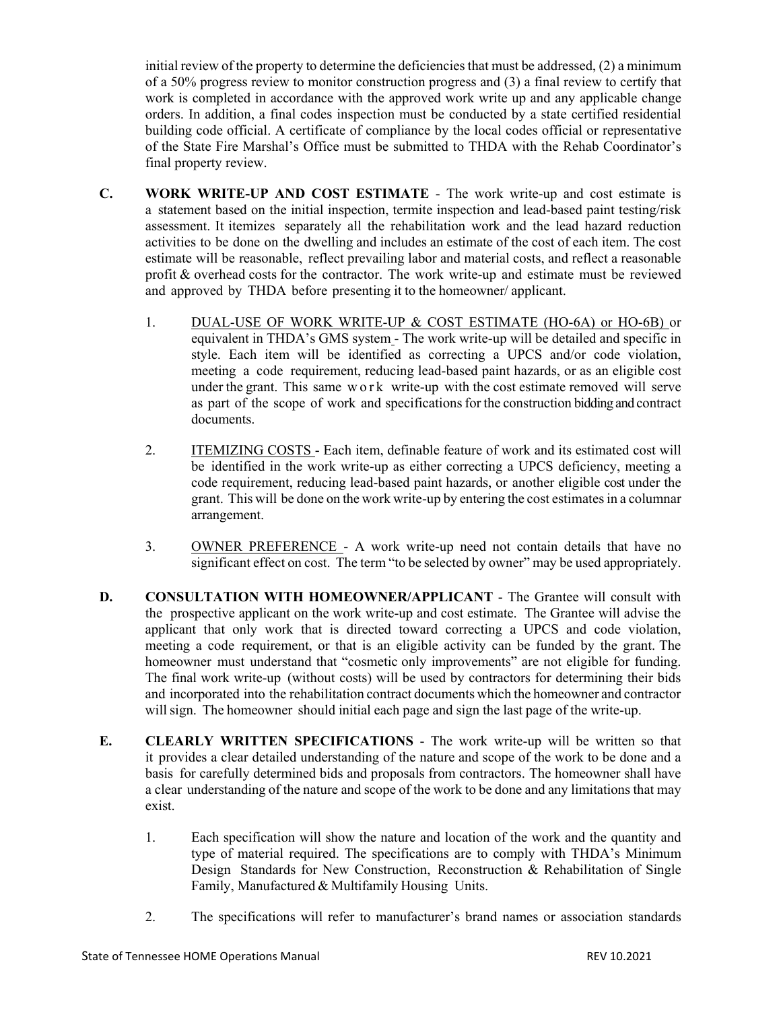initial review of the property to determine the deficiencies that must be addressed, (2) a minimum of a 50% progress review to monitor construction progress and (3) a final review to certify that work is completed in accordance with the approved work write up and any applicable change orders. In addition, a final codes inspection must be conducted by a state certified residential building code official. A certificate of compliance by the local codes official or representative of the State Fire Marshal's Office must be submitted to THDA with the Rehab Coordinator's final property review.

- **C. WORK WRITE-UP AND COST ESTIMATE** The work write-up and cost estimate is a statement based on the initial inspection, termite inspection and lead-based paint testing/risk assessment. It itemizes separately all the rehabilitation work and the lead hazard reduction activities to be done on the dwelling and includes an estimate of the cost of each item. The cost estimate will be reasonable, reflect prevailing labor and material costs, and reflect a reasonable profit & overhead costs for the contractor. The work write-up and estimate must be reviewed and approved by THDA before presenting it to the homeowner/ applicant.
	- 1. DUAL-USE OF WORK WRITE-UP & COST ESTIMATE (HO-6A) or HO-6B) or equivalent in THDA's GMS system - The work write-up will be detailed and specific in style. Each item will be identified as correcting a UPCS and/or code violation, meeting a code requirement, reducing lead-based paint hazards, or as an eligible cost under the grant. This same work write-up with the cost estimate removed will serve as part of the scope of work and specificationsfor the construction bidding and contract documents.
	- 2. ITEMIZING COSTS Each item, definable feature of work and its estimated cost will be identified in the work write-up as either correcting a UPCS deficiency, meeting a code requirement, reducing lead-based paint hazards, or another eligible cost under the grant. This will be done on the work write-up by entering the cost estimatesin a columnar arrangement.
	- 3. OWNER PREFERENCE A work write-up need not contain details that have no significant effect on cost. The term "to be selected by owner" may be used appropriately.
- **D. CONSULTATION WITH HOMEOWNER/APPLICANT** The Grantee will consult with the prospective applicant on the work write-up and cost estimate. The Grantee will advise the applicant that only work that is directed toward correcting a UPCS and code violation, meeting a code requirement, or that is an eligible activity can be funded by the grant. The homeowner must understand that "cosmetic only improvements" are not eligible for funding. The final work write-up (without costs) will be used by contractors for determining their bids and incorporated into the rehabilitation contract documents which the homeowner and contractor will sign. The homeowner should initial each page and sign the last page of the write-up.
- **E. CLEARLY WRITTEN SPECIFICATIONS** The work write-up will be written so that it provides a clear detailed understanding of the nature and scope of the work to be done and a basis for carefully determined bids and proposals from contractors. The homeowner shall have a clear understanding of the nature and scope of the work to be done and any limitations that may exist.
	- 1. Each specification will show the nature and location of the work and the quantity and type of material required. The specifications are to comply with THDA's Minimum Design Standards for New Construction, Reconstruction & Rehabilitation of Single Family, Manufactured & Multifamily Housing Units.
	- 2. The specifications will refer to manufacturer's brand names or association standards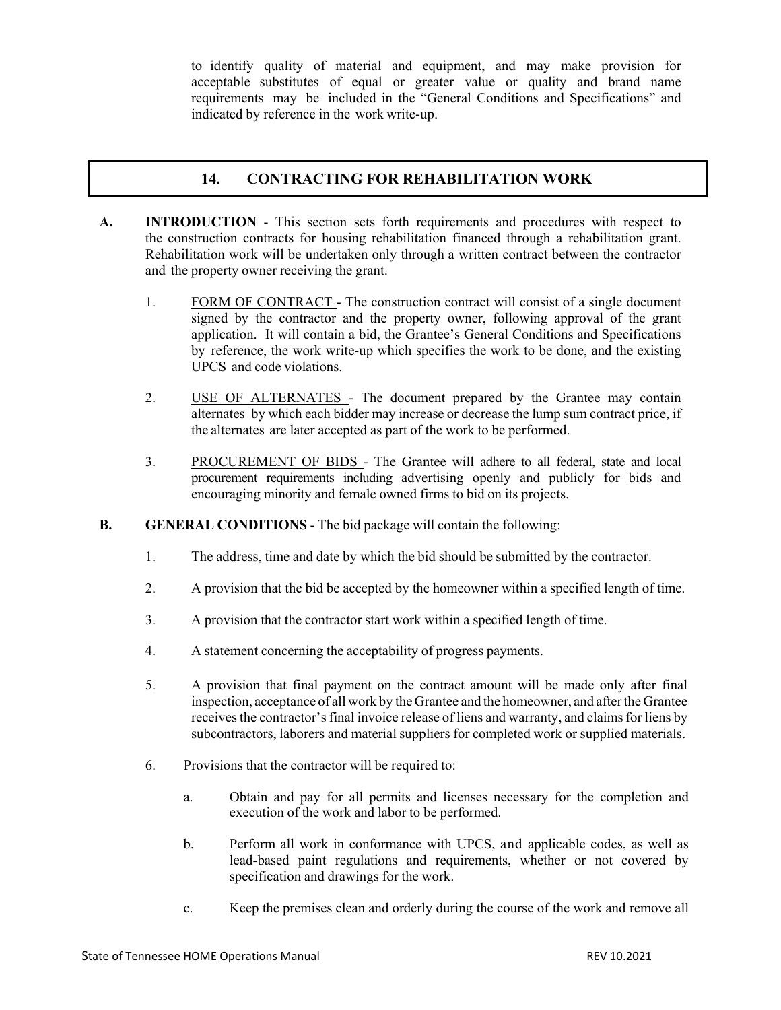to identify quality of material and equipment, and may make provision for acceptable substitutes of equal or greater value or quality and brand name requirements may be included in the "General Conditions and Specifications" and indicated by reference in the work write-up.

# **14. CONTRACTING FOR REHABILITATION WORK**

- **A. INTRODUCTION** This section sets forth requirements and procedures with respect to the construction contracts for housing rehabilitation financed through a rehabilitation grant. Rehabilitation work will be undertaken only through a written contract between the contractor and the property owner receiving the grant.
	- 1. FORM OF CONTRACT The construction contract will consist of a single document signed by the contractor and the property owner, following approval of the grant application. It will contain a bid, the Grantee's General Conditions and Specifications by reference, the work write-up which specifies the work to be done, and the existing UPCS and code violations.
	- 2. USE OF ALTERNATES The document prepared by the Grantee may contain alternates by which each bidder may increase or decrease the lump sum contract price, if the alternates are later accepted as part of the work to be performed.
	- 3. PROCUREMENT OF BIDS The Grantee will adhere to all federal, state and local procurement requirements including advertising openly and publicly for bids and encouraging minority and female owned firms to bid on its projects.
- **B. GENERAL CONDITIONS** The bid package will contain the following:
	- 1. The address, time and date by which the bid should be submitted by the contractor.
	- 2. A provision that the bid be accepted by the homeowner within a specified length of time.
	- 3. A provision that the contractor start work within a specified length of time.
	- 4. A statement concerning the acceptability of progress payments.
	- 5. A provision that final payment on the contract amount will be made only after final inspection, acceptance of all work by the Grantee and the homeowner, and afterthe Grantee receives the contractor's final invoice release of liens and warranty, and claims for liens by subcontractors, laborers and material suppliers for completed work or supplied materials.
	- 6. Provisions that the contractor will be required to:
		- a. Obtain and pay for all permits and licenses necessary for the completion and execution of the work and labor to be performed.
		- b. Perform all work in conformance with UPCS, and applicable codes, as well as lead-based paint regulations and requirements, whether or not covered by specification and drawings for the work.
		- c. Keep the premises clean and orderly during the course of the work and remove all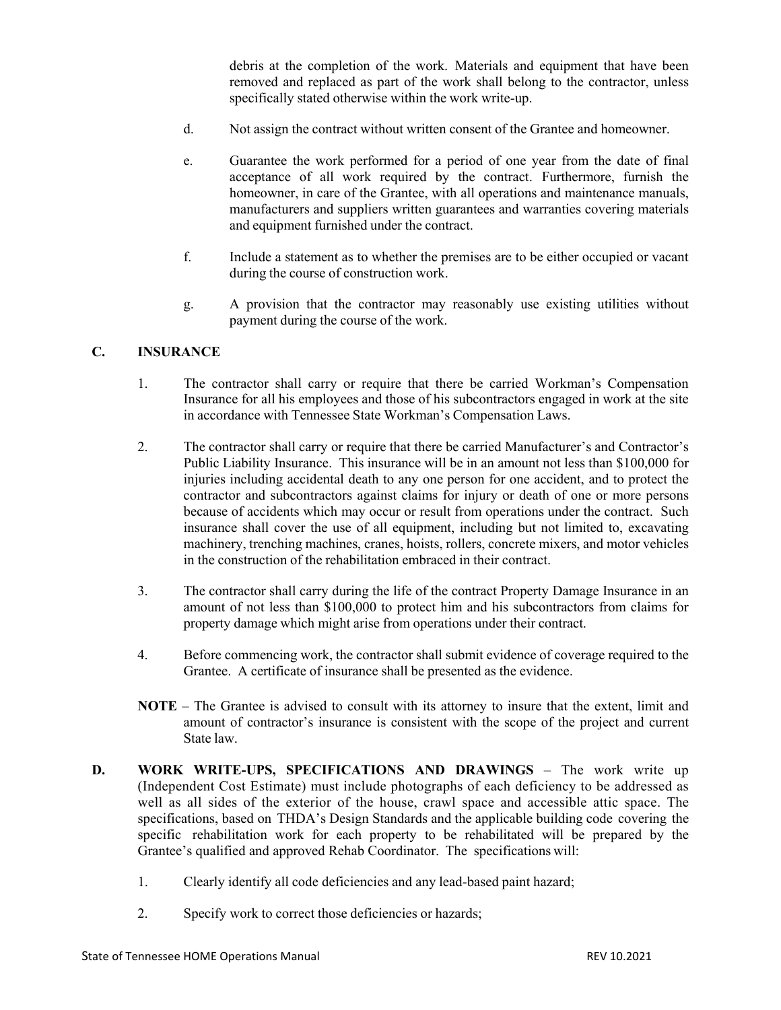debris at the completion of the work. Materials and equipment that have been removed and replaced as part of the work shall belong to the contractor, unless specifically stated otherwise within the work write-up.

- d. Not assign the contract without written consent of the Grantee and homeowner.
- e. Guarantee the work performed for a period of one year from the date of final acceptance of all work required by the contract. Furthermore, furnish the homeowner, in care of the Grantee, with all operations and maintenance manuals, manufacturers and suppliers written guarantees and warranties covering materials and equipment furnished under the contract.
- f. Include a statement as to whether the premises are to be either occupied or vacant during the course of construction work.
- g. A provision that the contractor may reasonably use existing utilities without payment during the course of the work.

### **C. INSURANCE**

- 1. The contractor shall carry or require that there be carried Workman's Compensation Insurance for all his employees and those of his subcontractors engaged in work at the site in accordance with Tennessee State Workman's Compensation Laws.
- 2. The contractor shall carry or require that there be carried Manufacturer's and Contractor's Public Liability Insurance. This insurance will be in an amount not less than \$100,000 for injuries including accidental death to any one person for one accident, and to protect the contractor and subcontractors against claims for injury or death of one or more persons because of accidents which may occur or result from operations under the contract. Such insurance shall cover the use of all equipment, including but not limited to, excavating machinery, trenching machines, cranes, hoists, rollers, concrete mixers, and motor vehicles in the construction of the rehabilitation embraced in their contract.
- 3. The contractor shall carry during the life of the contract Property Damage Insurance in an amount of not less than \$100,000 to protect him and his subcontractors from claims for property damage which might arise from operations under their contract.
- 4. Before commencing work, the contractor shall submit evidence of coverage required to the Grantee. A certificate of insurance shall be presented as the evidence.
- **NOTE** The Grantee is advised to consult with its attorney to insure that the extent, limit and amount of contractor's insurance is consistent with the scope of the project and current State law.
- **D. WORK WRITE-UPS, SPECIFICATIONS AND DRAWINGS** The work write up (Independent Cost Estimate) must include photographs of each deficiency to be addressed as well as all sides of the exterior of the house, crawl space and accessible attic space. The specifications, based on THDA's Design Standards and the applicable building code covering the specific rehabilitation work for each property to be rehabilitated will be prepared by the Grantee's qualified and approved Rehab Coordinator. The specifications will:
	- 1. Clearly identify all code deficiencies and any lead-based paint hazard;
	- 2. Specify work to correct those deficiencies or hazards;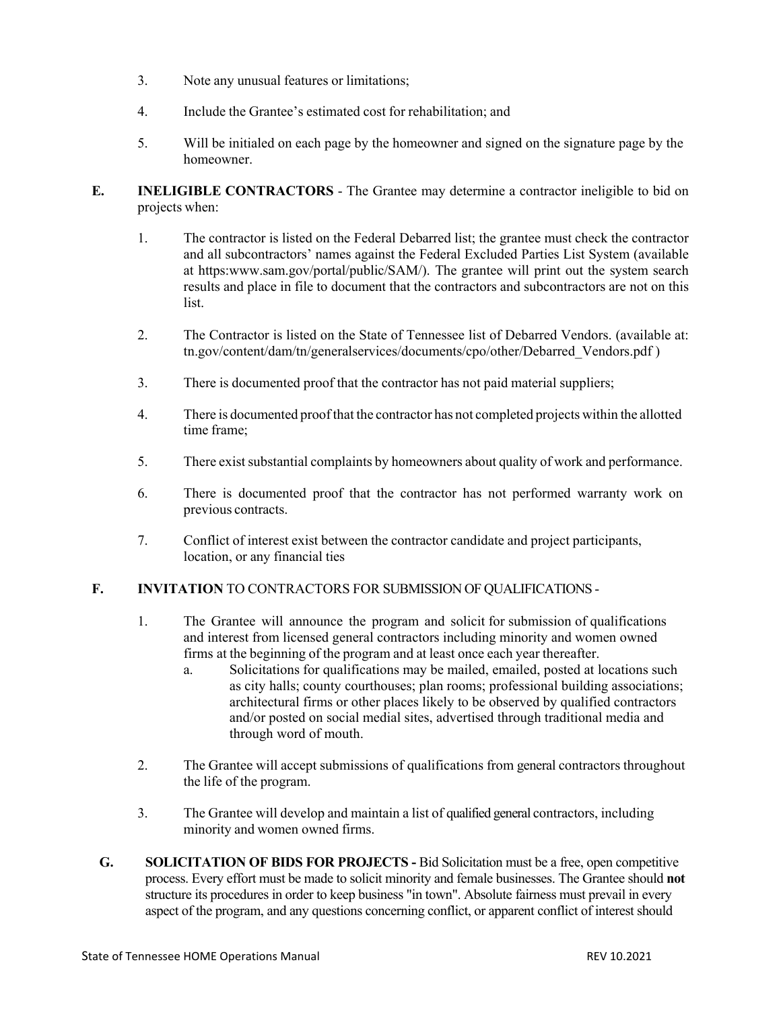- 3. Note any unusual features or limitations;
- 4. Include the Grantee's estimated cost for rehabilitation; and
- 5. Will be initialed on each page by the homeowner and signed on the signature page by the homeowner.
- **E. INELIGIBLE CONTRACTORS** The Grantee may determine a contractor ineligible to bid on projects when:
	- 1. The contractor is listed on the Federal Debarred list; the grantee must check the contractor and all subcontractors' names against the Federal Excluded Parties List System (available at [https:www.sam.gov/portal/public/SAM/\).](http://www.sam.gov/portal/public/SAM/)) The grantee will print out the system search results and place in file to document that the contractors and subcontractors are not on this list.
	- 2. The Contractor is listed on the State of Tennessee list of Debarred Vendors. (available at: tn.gov/content/dam/tn/generalservices/documents/cpo/other/Debarred\_Vendors.pdf )
	- 3. There is documented proof that the contractor has not paid material suppliers;
	- 4. There is documented proofthat the contractor has not completed projects within the allotted time frame;
	- 5. There exist substantial complaints by homeowners about quality of work and performance.
	- 6. There is documented proof that the contractor has not performed warranty work on previous contracts.
	- 7. Conflict of interest exist between the contractor candidate and project participants, location, or any financial ties

## **F. INVITATION** TO CONTRACTORS FOR SUBMISSION OF QUALIFICATIONS -

- 1. The Grantee will announce the program and solicit for submission of qualifications and interest from licensed general contractors including minority and women owned firms at the beginning of the program and at least once each year thereafter.
	- a. Solicitations for qualifications may be mailed, emailed, posted at locations such as city halls; county courthouses; plan rooms; professional building associations; architectural firms or other places likely to be observed by qualified contractors and/or posted on social medial sites, advertised through traditional media and through word of mouth.
- 2. The Grantee will accept submissions of qualifications from general contractors throughout the life of the program.
- 3. The Grantee will develop and maintain a list of qualified general contractors, including minority and women owned firms.
- **G. SOLICITATION OF BIDS FOR PROJECTS -** Bid Solicitation must be a free, open competitive process. Every effort must be made to solicit minority and female businesses. The Grantee should **not** structure its procedures in order to keep business "in town". Absolute fairness must prevail in every aspect of the program, and any questions concerning conflict, or apparent conflict of interest should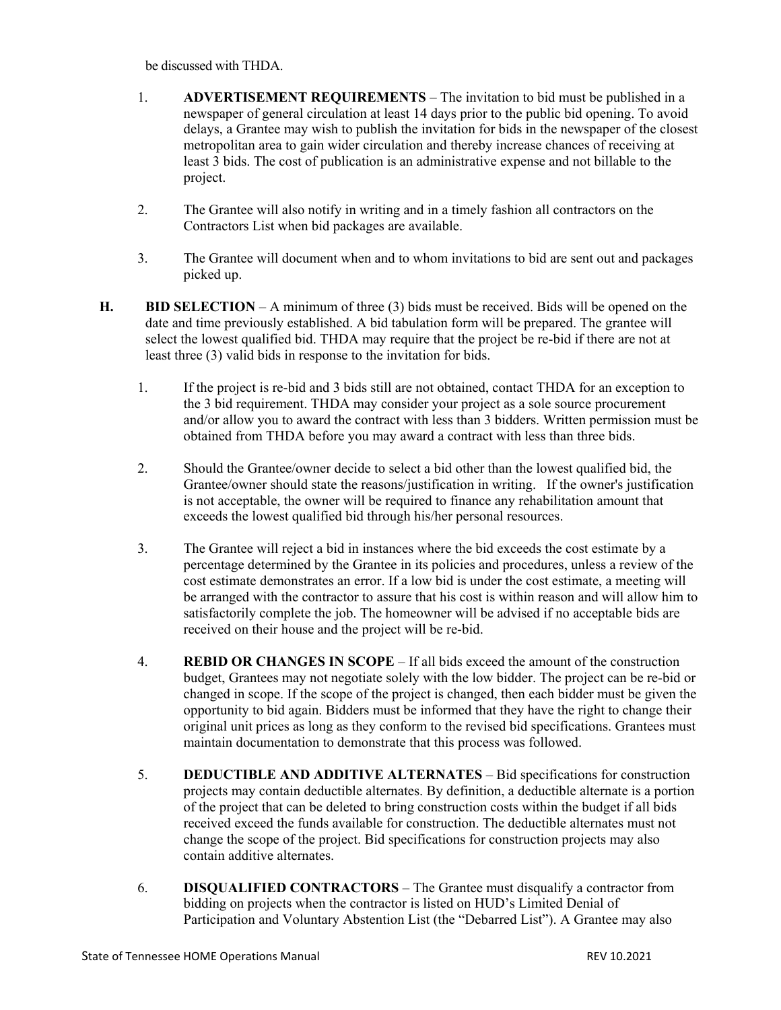be discussed with THDA.

- 1. **ADVERTISEMENT REQUIREMENTS** The invitation to bid must be published in a newspaper of general circulation at least 14 days prior to the public bid opening. To avoid delays, a Grantee may wish to publish the invitation for bids in the newspaper of the closest metropolitan area to gain wider circulation and thereby increase chances of receiving at least 3 bids. The cost of publication is an administrative expense and not billable to the project.
- 2. The Grantee will also notify in writing and in a timely fashion all contractors on the Contractors List when bid packages are available.
- 3. The Grantee will document when and to whom invitations to bid are sent out and packages picked up.
- **H. BID SELECTION** A minimum of three (3) bids must be received. Bids will be opened on the date and time previously established. A bid tabulation form will be prepared. The grantee will select the lowest qualified bid. THDA may require that the project be re-bid if there are not at least three (3) valid bids in response to the invitation for bids.
	- 1. If the project is re-bid and 3 bids still are not obtained, contact THDA for an exception to the 3 bid requirement. THDA may consider your project as a sole source procurement and/or allow you to award the contract with less than 3 bidders. Written permission must be obtained from THDA before you may award a contract with less than three bids.
	- 2. Should the Grantee/owner decide to select a bid other than the lowest qualified bid, the Grantee/owner should state the reasons/justification in writing. If the owner's justification is not acceptable, the owner will be required to finance any rehabilitation amount that exceeds the lowest qualified bid through his/her personal resources.
	- 3. The Grantee will reject a bid in instances where the bid exceeds the cost estimate by a percentage determined by the Grantee in its policies and procedures, unless a review of the cost estimate demonstrates an error. If a low bid is under the cost estimate, a meeting will be arranged with the contractor to assure that his cost is within reason and will allow him to satisfactorily complete the job. The homeowner will be advised if no acceptable bids are received on their house and the project will be re-bid.
	- 4. **REBID OR CHANGES IN SCOPE** If all bids exceed the amount of the construction budget, Grantees may not negotiate solely with the low bidder. The project can be re-bid or changed in scope. If the scope of the project is changed, then each bidder must be given the opportunity to bid again. Bidders must be informed that they have the right to change their original unit prices as long as they conform to the revised bid specifications. Grantees must maintain documentation to demonstrate that this process was followed.
	- 5. **DEDUCTIBLE AND ADDITIVE ALTERNATES** Bid specifications for construction projects may contain deductible alternates. By definition, a deductible alternate is a portion of the project that can be deleted to bring construction costs within the budget if all bids received exceed the funds available for construction. The deductible alternates must not change the scope of the project. Bid specifications for construction projects may also contain additive alternates.
	- 6. **DISQUALIFIED CONTRACTORS** The Grantee must disqualify a contractor from bidding on projects when the contractor is listed on HUD's Limited Denial of Participation and Voluntary Abstention List (the "Debarred List"). A Grantee may also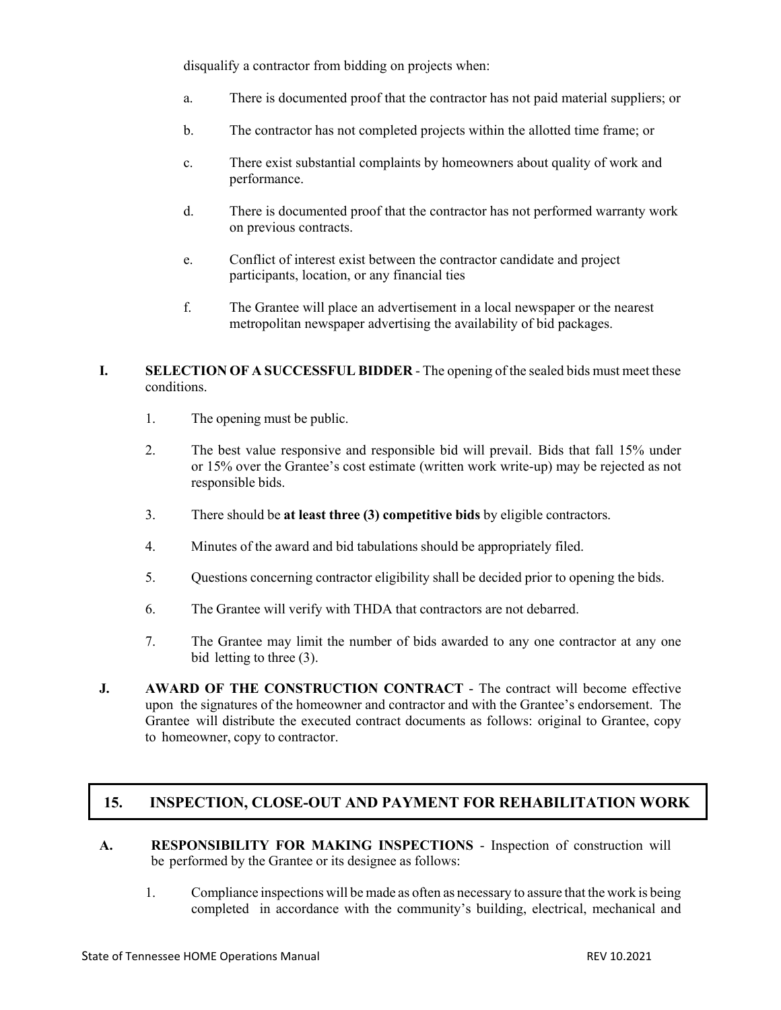disqualify a contractor from bidding on projects when:

- a. There is documented proof that the contractor has not paid material suppliers; or
- b. The contractor has not completed projects within the allotted time frame; or
- c. There exist substantial complaints by homeowners about quality of work and performance.
- d. There is documented proof that the contractor has not performed warranty work on previous contracts.
- e. Conflict of interest exist between the contractor candidate and project participants, location, or any financial ties
- f. The Grantee will place an advertisement in a local newspaper or the nearest metropolitan newspaper advertising the availability of bid packages.
- **I. SELECTION OF A SUCCESSFUL BIDDER** The opening of the sealed bids must meet these conditions.
	- 1. The opening must be public.
	- 2. The best value responsive and responsible bid will prevail. Bids that fall 15% under or 15% over the Grantee's cost estimate (written work write-up) may be rejected as not responsible bids.
	- 3. There should be **at least three (3) competitive bids** by eligible contractors.
	- 4. Minutes of the award and bid tabulations should be appropriately filed.
	- 5. Questions concerning contractor eligibility shall be decided prior to opening the bids.
	- 6. The Grantee will verify with THDA that contractors are not debarred.
	- 7. The Grantee may limit the number of bids awarded to any one contractor at any one bid letting to three (3).
- **J. AWARD OF THE CONSTRUCTION CONTRACT** The contract will become effective upon the signatures of the homeowner and contractor and with the Grantee's endorsement. The Grantee will distribute the executed contract documents as follows: original to Grantee, copy to homeowner, copy to contractor.

## **15. INSPECTION, CLOSE-OUT AND PAYMENT FOR REHABILITATION WORK**

- **A. RESPONSIBILITY FOR MAKING INSPECTIONS** Inspection of construction will be performed by the Grantee or its designee as follows:
	- 1. Compliance inspections will be made as often as necessary to assure that the work is being completed in accordance with the community's building, electrical, mechanical and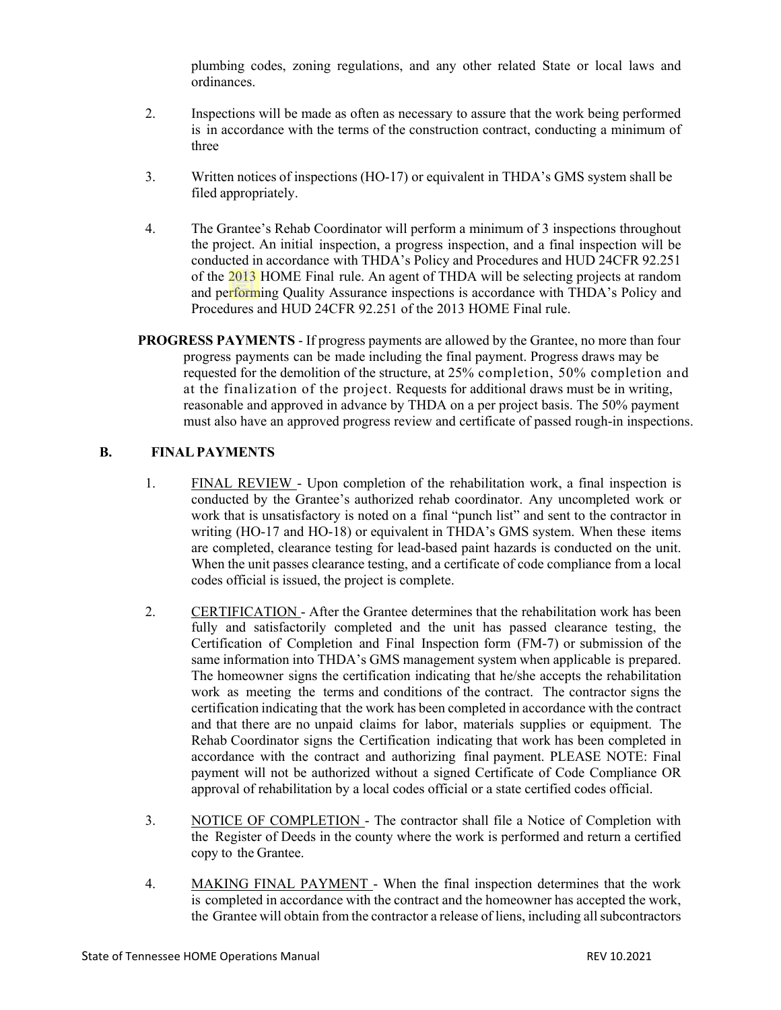plumbing codes, zoning regulations, and any other related State or local laws and ordinances.

- 2. Inspections will be made as often as necessary to assure that the work being performed is in accordance with the terms of the construction contract, conducting a minimum of three
- 3. Written notices of inspections (HO-17) or equivalent in THDA's GMS system shall be filed appropriately.
- 4. The Grantee's Rehab Coordinator will perform a minimum of 3 inspections throughout the project. An initial inspection, a progress inspection, and a final inspection will be conducted in accordance with THDA's Policy and Procedures and HUD 24CFR 92.251 of the 2013 HOME Final rule. An agent of THDA will be selecting projects at random and performing Quality Assurance inspections is accordance with THDA's Policy and Procedures and HUD 24CFR 92.251 of the 2013 HOME Final rule.
- **PROGRESS PAYMENTS** If progress payments are allowed by the Grantee, no more than four progress payments can be made including the final payment. Progress draws may be requested for the demolition of the structure, at 25% completion, 50% completion and at the finalization of the project. Requests for additional draws must be in writing, reasonable and approved in advance by THDA on a per project basis. The 50% payment must also have an approved progress review and certificate of passed rough-in inspections.

## **B. FINALPAYMENTS**

- 1. FINAL REVIEW Upon completion of the rehabilitation work, a final inspection is conducted by the Grantee's authorized rehab coordinator. Any uncompleted work or work that is unsatisfactory is noted on a final "punch list" and sent to the contractor in writing (HO-17 and HO-18) or equivalent in THDA's GMS system. When these items are completed, clearance testing for lead-based paint hazards is conducted on the unit. When the unit passes clearance testing, and a certificate of code compliance from a local codes official is issued, the project is complete.
- 2. CERTIFICATION After the Grantee determines that the rehabilitation work has been fully and satisfactorily completed and the unit has passed clearance testing, the Certification of Completion and Final Inspection form (FM-7) or submission of the same information into THDA's GMS management system when applicable is prepared. The homeowner signs the certification indicating that he/she accepts the rehabilitation work as meeting the terms and conditions of the contract. The contractor signs the certification indicating that the work has been completed in accordance with the contract and that there are no unpaid claims for labor, materials supplies or equipment. The Rehab Coordinator signs the Certification indicating that work has been completed in accordance with the contract and authorizing final payment. PLEASE NOTE: Final payment will not be authorized without a signed Certificate of Code Compliance OR approval of rehabilitation by a local codes official or a state certified codes official.
- 3. NOTICE OF COMPLETION The contractor shall file a Notice of Completion with the Register of Deeds in the county where the work is performed and return a certified copy to the Grantee.
- 4. MAKING FINAL PAYMENT When the final inspection determines that the work is completed in accordance with the contract and the homeowner has accepted the work, the Grantee will obtain from the contractor a release of liens, including allsubcontractors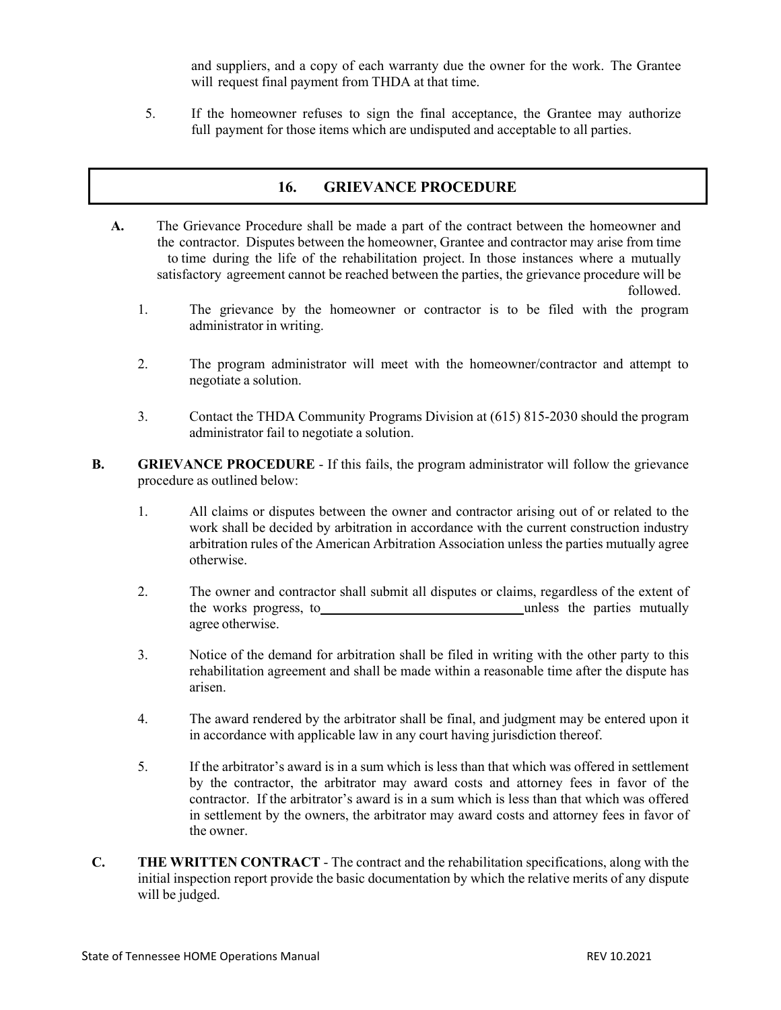and suppliers, and a copy of each warranty due the owner for the work. The Grantee will request final payment from THDA at that time.

5. If the homeowner refuses to sign the final acceptance, the Grantee may authorize full payment for those items which are undisputed and acceptable to all parties.

## **16. GRIEVANCE PROCEDURE**

- **A.** The Grievance Procedure shall be made a part of the contract between the homeowner and the contractor. Disputes between the homeowner, Grantee and contractor may arise from time to time during the life of the rehabilitation project. In those instances where a mutually satisfactory agreement cannot be reached between the parties, the grievance procedure will be followed.
	- 1. The grievance by the homeowner or contractor is to be filed with the program administrator in writing.
	- 2. The program administrator will meet with the homeowner/contractor and attempt to negotiate a solution.
	- 3. Contact the THDA Community Programs Division at (615) 815-2030 should the program administrator fail to negotiate a solution.
- **B. GRIEVANCE PROCEDURE** If this fails, the program administrator will follow the grievance procedure as outlined below:
	- 1. All claims or disputes between the owner and contractor arising out of or related to the work shall be decided by arbitration in accordance with the current construction industry arbitration rules of the American Arbitration Association unless the parties mutually agree otherwise.
	- 2. The owner and contractor shall submit all disputes or claims, regardless of the extent of the works progress, to unless the parties mutually agree otherwise.
	- 3. Notice of the demand for arbitration shall be filed in writing with the other party to this rehabilitation agreement and shall be made within a reasonable time after the dispute has arisen.
	- 4. The award rendered by the arbitrator shall be final, and judgment may be entered upon it in accordance with applicable law in any court having jurisdiction thereof.
	- 5. If the arbitrator's award is in a sum which is less than that which was offered in settlement by the contractor, the arbitrator may award costs and attorney fees in favor of the contractor. If the arbitrator's award is in a sum which is less than that which was offered in settlement by the owners, the arbitrator may award costs and attorney fees in favor of the owner.
- **C. THE WRITTEN CONTRACT** The contract and the rehabilitation specifications, along with the initial inspection report provide the basic documentation by which the relative merits of any dispute will be judged.